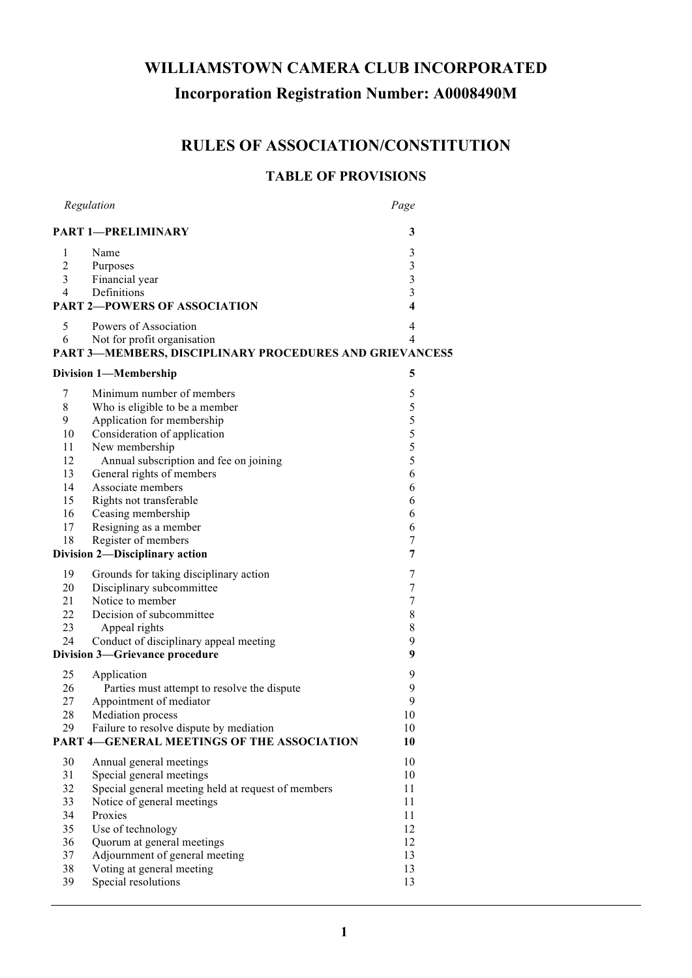# **WILLIAMSTOWN CAMERA CLUB INCORPORATED Incorporation Registration Number: A0008490M**

# **RULES OF ASSOCIATION/CONSTITUTION**

# **TABLE OF PROVISIONS**

|                            | Regulation                                                                             | Page                    |  |  |  |
|----------------------------|----------------------------------------------------------------------------------------|-------------------------|--|--|--|
| <b>PART 1-PRELIMINARY</b>  | 3                                                                                      |                         |  |  |  |
| 1                          | Name                                                                                   | 3                       |  |  |  |
| $\overline{c}$             | Purposes                                                                               | $\mathfrak{Z}$          |  |  |  |
| 3                          | Financial year                                                                         | $\overline{\mathbf{3}}$ |  |  |  |
| $\overline{4}$             | Definitions                                                                            | $\mathfrak{Z}$          |  |  |  |
|                            | <b>PART 2-POWERS OF ASSOCIATION</b>                                                    | $\overline{\mathbf{4}}$ |  |  |  |
| 5                          | Powers of Association                                                                  | 4                       |  |  |  |
| 6                          | Not for profit organisation<br>PART 3-MEMBERS, DISCIPLINARY PROCEDURES AND GRIEVANCES5 | 4                       |  |  |  |
| 5<br>Division 1-Membership |                                                                                        |                         |  |  |  |
| 7                          | Minimum number of members                                                              | 5                       |  |  |  |
| 8                          | Who is eligible to be a member                                                         | 5                       |  |  |  |
| 9                          | Application for membership                                                             | 5                       |  |  |  |
| 10                         | Consideration of application                                                           | 5                       |  |  |  |
| 11                         | New membership                                                                         | 5                       |  |  |  |
| 12                         | Annual subscription and fee on joining                                                 | 5                       |  |  |  |
| 13                         | General rights of members                                                              | 6                       |  |  |  |
| 14                         | Associate members                                                                      | 6                       |  |  |  |
| 15                         | Rights not transferable                                                                | 6                       |  |  |  |
| 16                         | Ceasing membership                                                                     | 6                       |  |  |  |
| 17                         | Resigning as a member                                                                  | 6                       |  |  |  |
| 18                         | Register of members                                                                    | 7                       |  |  |  |
|                            | Division 2-Disciplinary action                                                         | 7                       |  |  |  |
| 19                         | Grounds for taking disciplinary action                                                 | 7                       |  |  |  |
| 20                         | Disciplinary subcommittee                                                              | $\tau$                  |  |  |  |
| 21                         | Notice to member                                                                       | $\tau$                  |  |  |  |
| 22                         | Decision of subcommittee                                                               | 8                       |  |  |  |
| 23                         | Appeal rights                                                                          | 8                       |  |  |  |
| 24                         | Conduct of disciplinary appeal meeting                                                 | 9                       |  |  |  |
|                            | <b>Division 3-Grievance procedure</b>                                                  | 9                       |  |  |  |
| 25                         | Application                                                                            | 9                       |  |  |  |
| 26                         | Parties must attempt to resolve the dispute                                            | 9                       |  |  |  |
| 27                         | Appointment of mediator                                                                | 9                       |  |  |  |
| 28                         | <b>Mediation</b> process                                                               | 10                      |  |  |  |
| 29                         | Failure to resolve dispute by mediation                                                | 10                      |  |  |  |
|                            | <b>PART 4-GENERAL MEETINGS OF THE ASSOCIATION</b>                                      | 10                      |  |  |  |
| 30                         | Annual general meetings                                                                | 10                      |  |  |  |
| 31                         | Special general meetings                                                               | 10                      |  |  |  |
| 32                         | Special general meeting held at request of members                                     | 11                      |  |  |  |
| 33                         | Notice of general meetings                                                             | 11                      |  |  |  |
| 34                         | Proxies                                                                                | 11                      |  |  |  |
| 35                         | Use of technology                                                                      | 12                      |  |  |  |
| 36                         | Quorum at general meetings                                                             | 12                      |  |  |  |
| 37                         | Adjournment of general meeting                                                         | 13                      |  |  |  |
| 38                         | Voting at general meeting                                                              | 13                      |  |  |  |
| 39                         | Special resolutions                                                                    | 13                      |  |  |  |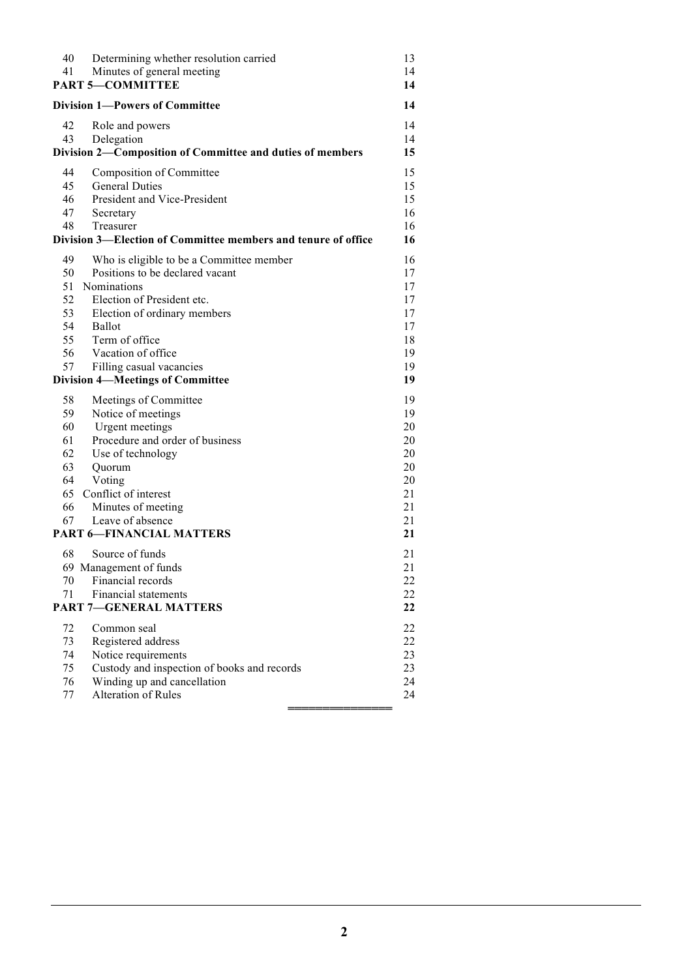| 40                                      | Determining whether resolution carried                                     | 13           |  |
|-----------------------------------------|----------------------------------------------------------------------------|--------------|--|
| 41                                      | Minutes of general meeting<br><b>PART 5-COMMITTEE</b>                      | 14           |  |
|                                         |                                                                            | 14           |  |
|                                         | <b>Division 1-Powers of Committee</b>                                      | 14           |  |
| 42                                      | Role and powers                                                            | 14           |  |
| 43                                      | Delegation                                                                 | 14           |  |
|                                         | Division 2-Composition of Committee and duties of members                  | 15           |  |
| 44                                      | Composition of Committee                                                   | 15           |  |
| 45                                      | <b>General Duties</b>                                                      | 15           |  |
| 46                                      | President and Vice-President                                               | 15           |  |
| 47<br>48                                | Secretary                                                                  | 16<br>16     |  |
|                                         | Treasurer<br>Division 3—Election of Committee members and tenure of office | 16           |  |
|                                         |                                                                            |              |  |
| 49                                      | Who is eligible to be a Committee member                                   | 16           |  |
| 50                                      | Positions to be declared vacant                                            | 17           |  |
| 51<br>52                                | Nominations<br>Election of President etc.                                  | 17<br>17     |  |
| 53                                      | Election of ordinary members                                               | 17           |  |
| 54                                      | <b>Ballot</b>                                                              | 17           |  |
| 55                                      | Term of office                                                             | 18           |  |
| 56                                      | Vacation of office                                                         | 19           |  |
| 57                                      | Filling casual vacancies                                                   | 19           |  |
| <b>Division 4-Meetings of Committee</b> |                                                                            | 19           |  |
| 58                                      | Meetings of Committee                                                      | 19           |  |
| 59                                      | Notice of meetings                                                         | 19           |  |
| 60                                      | Urgent meetings                                                            | 20           |  |
| 61                                      | Procedure and order of business                                            | 20           |  |
| 62                                      | Use of technology                                                          | 20           |  |
| 63                                      | Quorum                                                                     | 20           |  |
| 64                                      | Voting                                                                     | 20           |  |
| 65                                      | Conflict of interest                                                       | 21           |  |
| 66                                      | Minutes of meeting<br>Leave of absence                                     | 21           |  |
| 67                                      | <b>PART 6-FINANCIAL MATTERS</b>                                            | 21<br>21     |  |
|                                         |                                                                            |              |  |
| 68                                      | Source of funds                                                            | 21           |  |
|                                         | 69 Management of funds                                                     | 21           |  |
| 70                                      | Financial records<br><b>Financial statements</b>                           | $22\,$       |  |
| 71                                      |                                                                            | $22\,$<br>22 |  |
| <b>PART 7-GENERAL MATTERS</b>           |                                                                            |              |  |
| 72                                      | Common seal                                                                | 22           |  |
| 73                                      | Registered address                                                         | 22           |  |
| 74                                      | Notice requirements<br>Custody and inspection of books and records         | 23<br>23     |  |
| 75<br>76                                | Winding up and cancellation                                                | 24           |  |
| 77                                      | Alteration of Rules                                                        | 24           |  |
|                                         |                                                                            |              |  |
|                                         |                                                                            |              |  |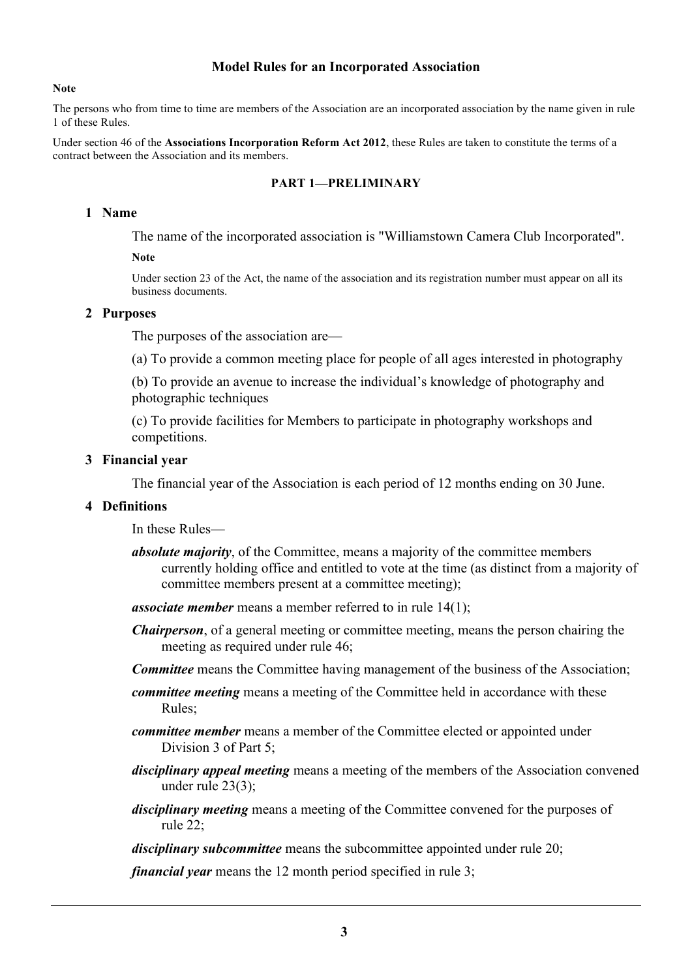#### **Model Rules for an Incorporated Association**

#### **Note**

The persons who from time to time are members of the Association are an incorporated association by the name given in rule 1 of these Rules.

Under section 46 of the **Associations Incorporation Reform Act 2012**, these Rules are taken to constitute the terms of a contract between the Association and its members.

#### **PART 1—PRELIMINARY**

#### **1 Name**

The name of the incorporated association is "Williamstown Camera Club Incorporated".

#### **Note**

Under section 23 of the Act, the name of the association and its registration number must appear on all its business documents.

#### **2 Purposes**

The purposes of the association are—

(a) To provide a common meeting place for people of all ages interested in photography

(b) To provide an avenue to increase the individual's knowledge of photography and photographic techniques

(c) To provide facilities for Members to participate in photography workshops and competitions.

#### **3 Financial year**

The financial year of the Association is each period of 12 months ending on 30 June.

#### **4 Definitions**

In these Rules—

- *absolute majority*, of the Committee, means a majority of the committee members currently holding office and entitled to vote at the time (as distinct from a majority of committee members present at a committee meeting);
- *associate member* means a member referred to in rule 14(1);
- *Chairperson*, of a general meeting or committee meeting, means the person chairing the meeting as required under rule 46;

*Committee* means the Committee having management of the business of the Association;

- *committee meeting* means a meeting of the Committee held in accordance with these Rules;
- *committee member* means a member of the Committee elected or appointed under Division 3 of Part 5;
- *disciplinary appeal meeting* means a meeting of the members of the Association convened under rule 23(3);
- *disciplinary meeting* means a meeting of the Committee convened for the purposes of rule 22;

*disciplinary subcommittee* means the subcommittee appointed under rule 20;

*financial year* means the 12 month period specified in rule 3;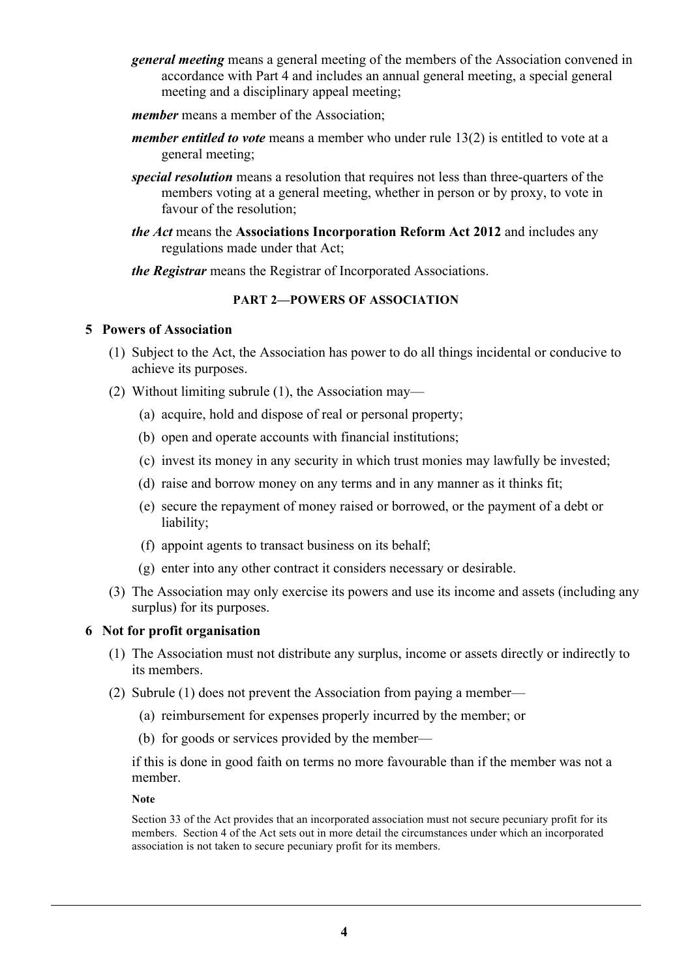- *general meeting* means a general meeting of the members of the Association convened in accordance with Part 4 and includes an annual general meeting, a special general meeting and a disciplinary appeal meeting;
- *member* means a member of the Association:
- *member entitled to vote* means a member who under rule 13(2) is entitled to vote at a general meeting;
- *special resolution* means a resolution that requires not less than three-quarters of the members voting at a general meeting, whether in person or by proxy, to vote in favour of the resolution;
- *the Act* means the **Associations Incorporation Reform Act 2012** and includes any regulations made under that Act;
- *the Registrar* means the Registrar of Incorporated Associations.

## **PART 2—POWERS OF ASSOCIATION**

#### **5 Powers of Association**

- (1) Subject to the Act, the Association has power to do all things incidental or conducive to achieve its purposes.
- (2) Without limiting subrule (1), the Association may—
	- (a) acquire, hold and dispose of real or personal property;
	- (b) open and operate accounts with financial institutions;
	- (c) invest its money in any security in which trust monies may lawfully be invested;
	- (d) raise and borrow money on any terms and in any manner as it thinks fit;
	- (e) secure the repayment of money raised or borrowed, or the payment of a debt or liability;
	- (f) appoint agents to transact business on its behalf;
	- (g) enter into any other contract it considers necessary or desirable.
- (3) The Association may only exercise its powers and use its income and assets (including any surplus) for its purposes.

#### **6 Not for profit organisation**

- (1) The Association must not distribute any surplus, income or assets directly or indirectly to its members.
- (2) Subrule (1) does not prevent the Association from paying a member—
	- (a) reimbursement for expenses properly incurred by the member; or
	- (b) for goods or services provided by the member—

if this is done in good faith on terms no more favourable than if the member was not a member.

**Note**

Section 33 of the Act provides that an incorporated association must not secure pecuniary profit for its members. Section 4 of the Act sets out in more detail the circumstances under which an incorporated association is not taken to secure pecuniary profit for its members.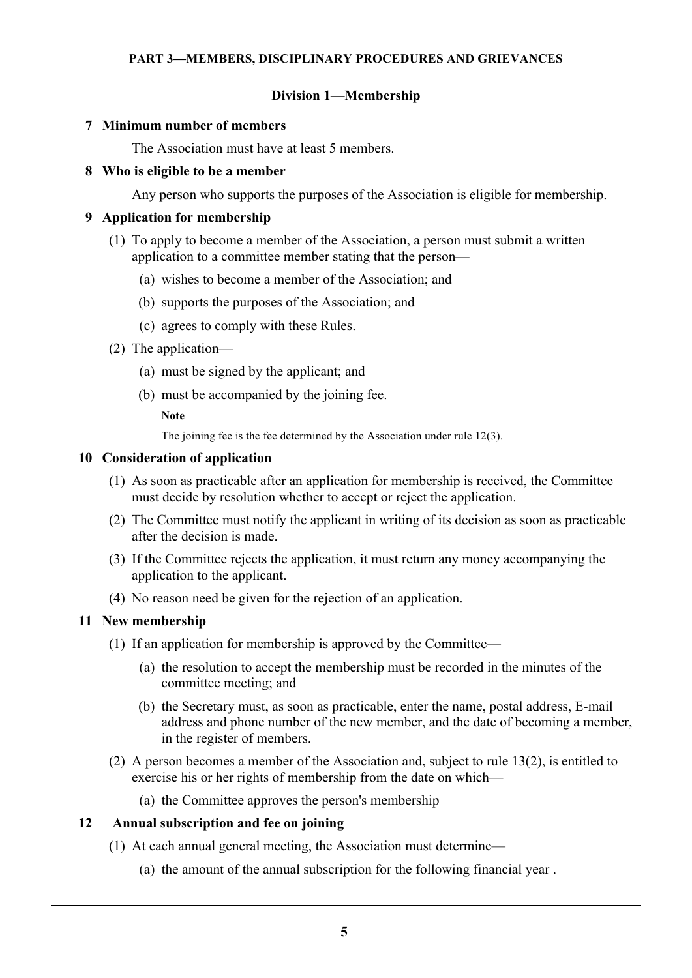## **Division 1—Membership**

#### **7 Minimum number of members**

The Association must have at least 5 members.

#### **8 Who is eligible to be a member**

Any person who supports the purposes of the Association is eligible for membership.

## **9 Application for membership**

- (1) To apply to become a member of the Association, a person must submit a written application to a committee member stating that the person—
	- (a) wishes to become a member of the Association; and
	- (b) supports the purposes of the Association; and
	- (c) agrees to comply with these Rules.
- (2) The application—
	- (a) must be signed by the applicant; and
	- (b) must be accompanied by the joining fee.

**Note**

The joining fee is the fee determined by the Association under rule 12(3).

#### **10 Consideration of application**

- (1) As soon as practicable after an application for membership is received, the Committee must decide by resolution whether to accept or reject the application.
- (2) The Committee must notify the applicant in writing of its decision as soon as practicable after the decision is made.
- (3) If the Committee rejects the application, it must return any money accompanying the application to the applicant.
- (4) No reason need be given for the rejection of an application.

## **11 New membership**

- (1) If an application for membership is approved by the Committee—
	- (a) the resolution to accept the membership must be recorded in the minutes of the committee meeting; and
	- (b) the Secretary must, as soon as practicable, enter the name, postal address, E-mail address and phone number of the new member, and the date of becoming a member, in the register of members.
- (2) A person becomes a member of the Association and, subject to rule 13(2), is entitled to exercise his or her rights of membership from the date on which—
	- (a) the Committee approves the person's membership

#### **12 Annual subscription and fee on joining**

- (1) At each annual general meeting, the Association must determine—
	- (a) the amount of the annual subscription for the following financial year .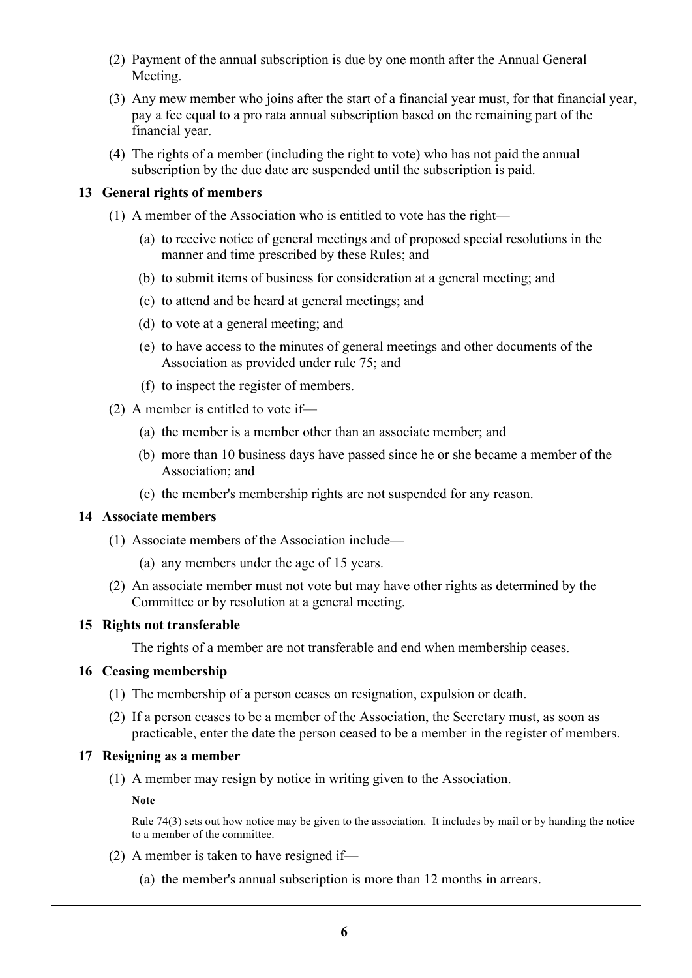- (2) Payment of the annual subscription is due by one month after the Annual General Meeting.
- (3) Any mew member who joins after the start of a financial year must, for that financial year, pay a fee equal to a pro rata annual subscription based on the remaining part of the financial year.
- (4) The rights of a member (including the right to vote) who has not paid the annual subscription by the due date are suspended until the subscription is paid.

#### **13 General rights of members**

- (1) A member of the Association who is entitled to vote has the right—
	- (a) to receive notice of general meetings and of proposed special resolutions in the manner and time prescribed by these Rules; and
	- (b) to submit items of business for consideration at a general meeting; and
	- (c) to attend and be heard at general meetings; and
	- (d) to vote at a general meeting; and
	- (e) to have access to the minutes of general meetings and other documents of the Association as provided under rule 75; and
	- (f) to inspect the register of members.
- (2) A member is entitled to vote if—
	- (a) the member is a member other than an associate member; and
	- (b) more than 10 business days have passed since he or she became a member of the Association; and
	- (c) the member's membership rights are not suspended for any reason.

#### **14 Associate members**

- (1) Associate members of the Association include—
	- (a) any members under the age of 15 years.
- (2) An associate member must not vote but may have other rights as determined by the Committee or by resolution at a general meeting.

#### **15 Rights not transferable**

The rights of a member are not transferable and end when membership ceases.

#### **16 Ceasing membership**

- (1) The membership of a person ceases on resignation, expulsion or death.
- (2) If a person ceases to be a member of the Association, the Secretary must, as soon as practicable, enter the date the person ceased to be a member in the register of members.

#### **17 Resigning as a member**

(1) A member may resign by notice in writing given to the Association.

**Note**

Rule 74(3) sets out how notice may be given to the association. It includes by mail or by handing the notice to a member of the committee.

- (2) A member is taken to have resigned if—
	- (a) the member's annual subscription is more than 12 months in arrears.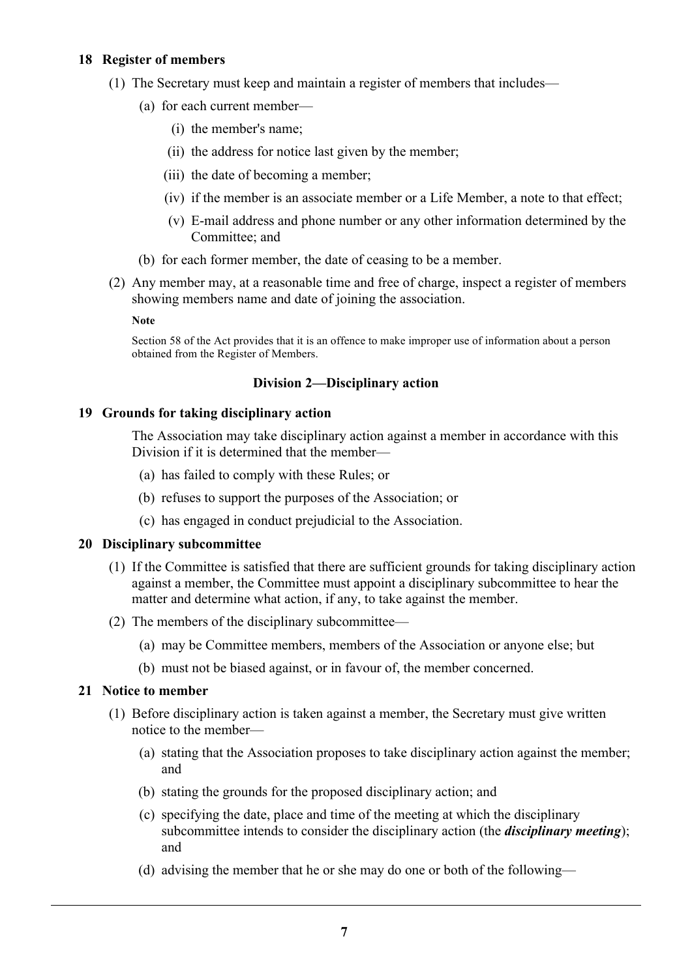## **18 Register of members**

- (1) The Secretary must keep and maintain a register of members that includes—
	- (a) for each current member—
		- (i) the member's name;
		- (ii) the address for notice last given by the member;
		- (iii) the date of becoming a member;
		- (iv) if the member is an associate member or a Life Member, a note to that effect;
		- (v) E-mail address and phone number or any other information determined by the Committee; and
	- (b) for each former member, the date of ceasing to be a member.
- (2) Any member may, at a reasonable time and free of charge, inspect a register of members showing members name and date of joining the association.

**Note**

Section 58 of the Act provides that it is an offence to make improper use of information about a person obtained from the Register of Members.

#### **Division 2—Disciplinary action**

#### **19 Grounds for taking disciplinary action**

The Association may take disciplinary action against a member in accordance with this Division if it is determined that the member—

- (a) has failed to comply with these Rules; or
- (b) refuses to support the purposes of the Association; or
- (c) has engaged in conduct prejudicial to the Association.

#### **20 Disciplinary subcommittee**

- (1) If the Committee is satisfied that there are sufficient grounds for taking disciplinary action against a member, the Committee must appoint a disciplinary subcommittee to hear the matter and determine what action, if any, to take against the member.
- (2) The members of the disciplinary subcommittee—
	- (a) may be Committee members, members of the Association or anyone else; but
	- (b) must not be biased against, or in favour of, the member concerned.

#### **21 Notice to member**

- (1) Before disciplinary action is taken against a member, the Secretary must give written notice to the member—
	- (a) stating that the Association proposes to take disciplinary action against the member; and
	- (b) stating the grounds for the proposed disciplinary action; and
	- (c) specifying the date, place and time of the meeting at which the disciplinary subcommittee intends to consider the disciplinary action (the *disciplinary meeting*); and
	- (d) advising the member that he or she may do one or both of the following—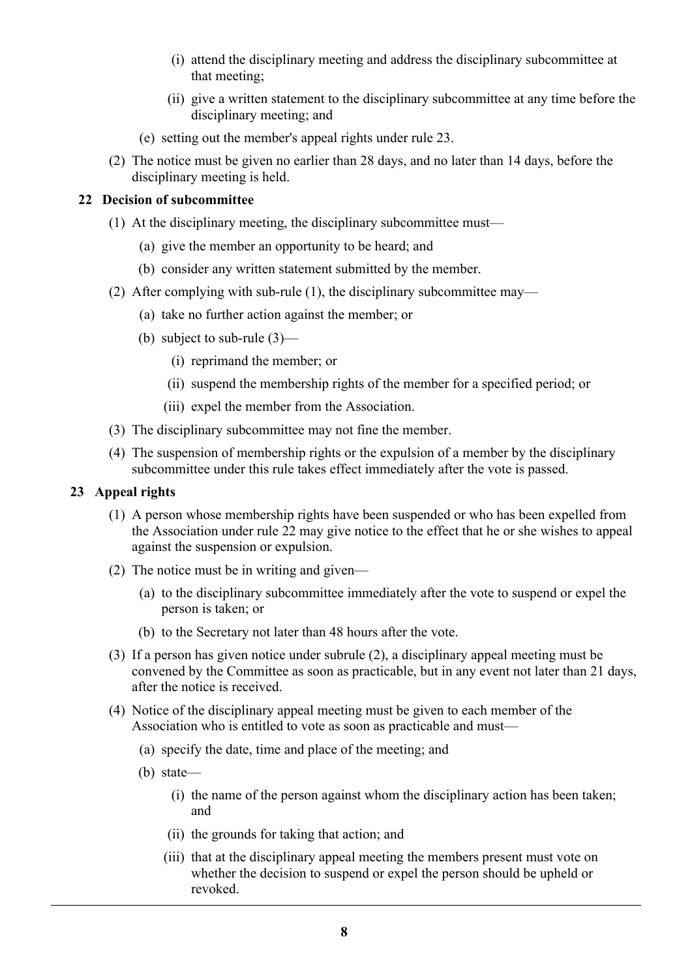- (i) attend the disciplinary meeting and address the disciplinary subcommittee at that meeting;
- (ii) give a written statement to the disciplinary subcommittee at any time before the disciplinary meeting; and
- (e) setting out the member's appeal rights under rule 23.
- (2) The notice must be given no earlier than 28 days, and no later than 14 days, before the disciplinary meeting is held.

#### **22 Decision of subcommittee**

- (1) At the disciplinary meeting, the disciplinary subcommittee must—
	- (a) give the member an opportunity to be heard; and
	- (b) consider any written statement submitted by the member.
- (2) After complying with sub-rule (1), the disciplinary subcommittee may—
	- (a) take no further action against the member; or
	- (b) subject to sub-rule (3)—
		- (i) reprimand the member; or
		- (ii) suspend the membership rights of the member for a specified period; or
		- (iii) expel the member from the Association.
- (3) The disciplinary subcommittee may not fine the member.
- (4) The suspension of membership rights or the expulsion of a member by the disciplinary subcommittee under this rule takes effect immediately after the vote is passed.

#### **23 Appeal rights**

- (1) A person whose membership rights have been suspended or who has been expelled from the Association under rule 22 may give notice to the effect that he or she wishes to appeal against the suspension or expulsion.
- (2) The notice must be in writing and given—
	- (a) to the disciplinary subcommittee immediately after the vote to suspend or expel the person is taken; or
	- (b) to the Secretary not later than 48 hours after the vote.
- (3) If a person has given notice under subrule (2), a disciplinary appeal meeting must be convened by the Committee as soon as practicable, but in any event not later than 21 days, after the notice is received.
- (4) Notice of the disciplinary appeal meeting must be given to each member of the Association who is entitled to vote as soon as practicable and must—
	- (a) specify the date, time and place of the meeting; and
	- (b) state—
		- (i) the name of the person against whom the disciplinary action has been taken; and
		- (ii) the grounds for taking that action; and
		- (iii) that at the disciplinary appeal meeting the members present must vote on whether the decision to suspend or expel the person should be upheld or revoked.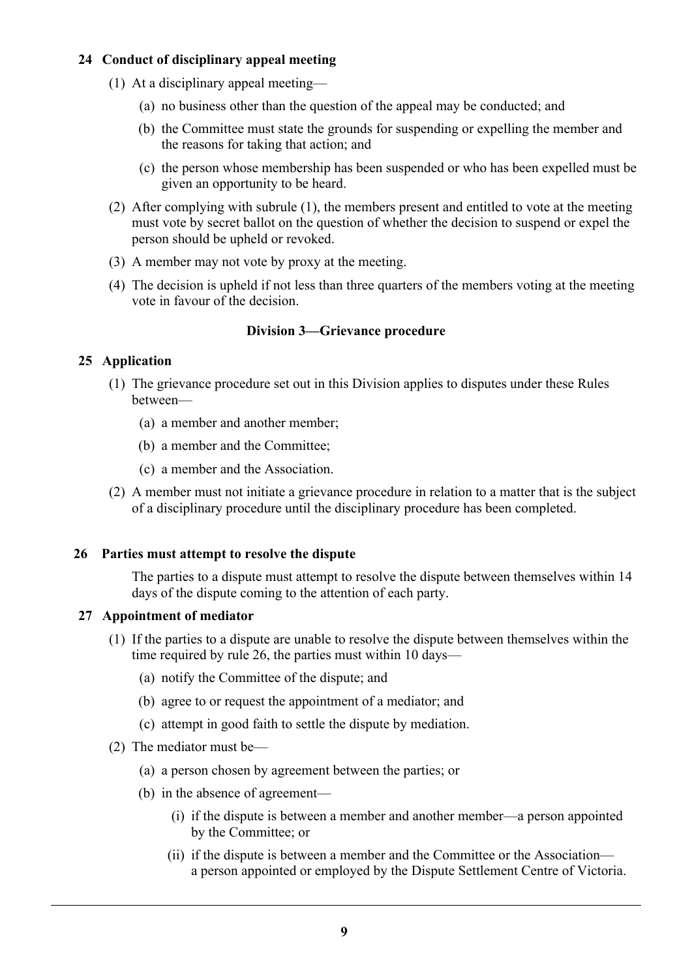# **24 Conduct of disciplinary appeal meeting**

- (1) At a disciplinary appeal meeting—
	- (a) no business other than the question of the appeal may be conducted; and
	- (b) the Committee must state the grounds for suspending or expelling the member and the reasons for taking that action; and
	- (c) the person whose membership has been suspended or who has been expelled must be given an opportunity to be heard.
- (2) After complying with subrule (1), the members present and entitled to vote at the meeting must vote by secret ballot on the question of whether the decision to suspend or expel the person should be upheld or revoked.
- (3) A member may not vote by proxy at the meeting.
- (4) The decision is upheld if not less than three quarters of the members voting at the meeting vote in favour of the decision.

## **Division 3—Grievance procedure**

## **25 Application**

- (1) The grievance procedure set out in this Division applies to disputes under these Rules between—
	- (a) a member and another member;
	- (b) a member and the Committee;
	- (c) a member and the Association.
- (2) A member must not initiate a grievance procedure in relation to a matter that is the subject of a disciplinary procedure until the disciplinary procedure has been completed.

#### **26 Parties must attempt to resolve the dispute**

The parties to a dispute must attempt to resolve the dispute between themselves within 14 days of the dispute coming to the attention of each party.

#### **27 Appointment of mediator**

- (1) If the parties to a dispute are unable to resolve the dispute between themselves within the time required by rule 26, the parties must within 10 days—
	- (a) notify the Committee of the dispute; and
	- (b) agree to or request the appointment of a mediator; and
	- (c) attempt in good faith to settle the dispute by mediation.
- (2) The mediator must be—
	- (a) a person chosen by agreement between the parties; or
	- (b) in the absence of agreement—
		- (i) if the dispute is between a member and another member—a person appointed by the Committee; or
		- (ii) if the dispute is between a member and the Committee or the Association a person appointed or employed by the Dispute Settlement Centre of Victoria.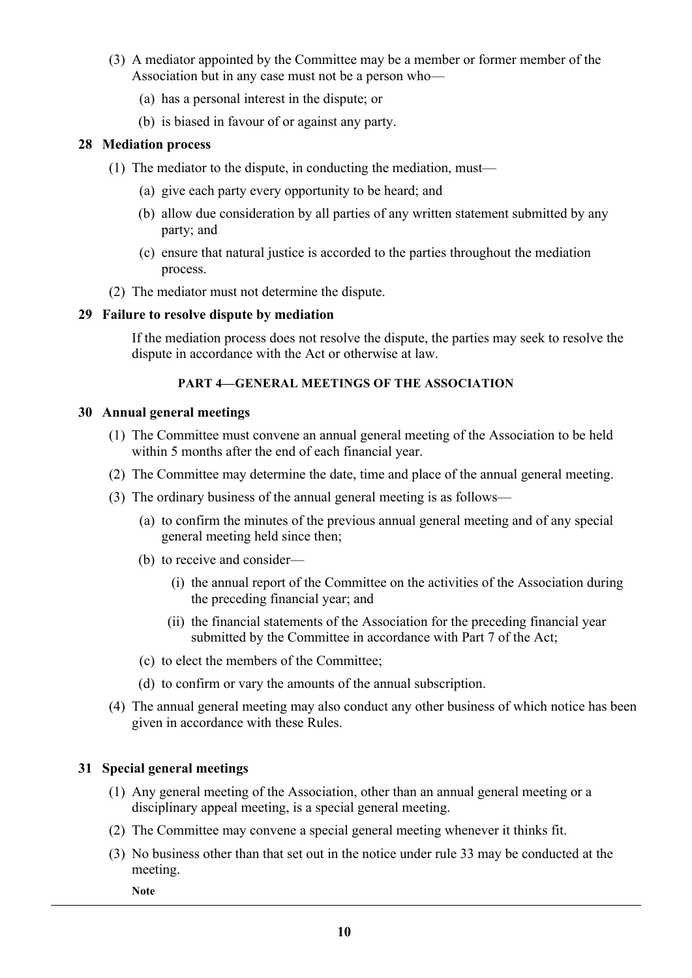- (3) A mediator appointed by the Committee may be a member or former member of the Association but in any case must not be a person who—
	- (a) has a personal interest in the dispute; or
	- (b) is biased in favour of or against any party.

#### **28 Mediation process**

- (1) The mediator to the dispute, in conducting the mediation, must—
	- (a) give each party every opportunity to be heard; and
	- (b) allow due consideration by all parties of any written statement submitted by any party; and
	- (c) ensure that natural justice is accorded to the parties throughout the mediation process.
- (2) The mediator must not determine the dispute.

#### **29 Failure to resolve dispute by mediation**

If the mediation process does not resolve the dispute, the parties may seek to resolve the dispute in accordance with the Act or otherwise at law.

#### **PART 4—GENERAL MEETINGS OF THE ASSOCIATION**

#### **30 Annual general meetings**

- (1) The Committee must convene an annual general meeting of the Association to be held within 5 months after the end of each financial year.
- (2) The Committee may determine the date, time and place of the annual general meeting.
- (3) The ordinary business of the annual general meeting is as follows—
	- (a) to confirm the minutes of the previous annual general meeting and of any special general meeting held since then;
	- (b) to receive and consider—
		- (i) the annual report of the Committee on the activities of the Association during the preceding financial year; and
		- (ii) the financial statements of the Association for the preceding financial year submitted by the Committee in accordance with Part 7 of the Act;
	- (c) to elect the members of the Committee;
	- (d) to confirm or vary the amounts of the annual subscription.
- (4) The annual general meeting may also conduct any other business of which notice has been given in accordance with these Rules.

## **31 Special general meetings**

- (1) Any general meeting of the Association, other than an annual general meeting or a disciplinary appeal meeting, is a special general meeting.
- (2) The Committee may convene a special general meeting whenever it thinks fit.
- (3) No business other than that set out in the notice under rule 33 may be conducted at the meeting.

**Note**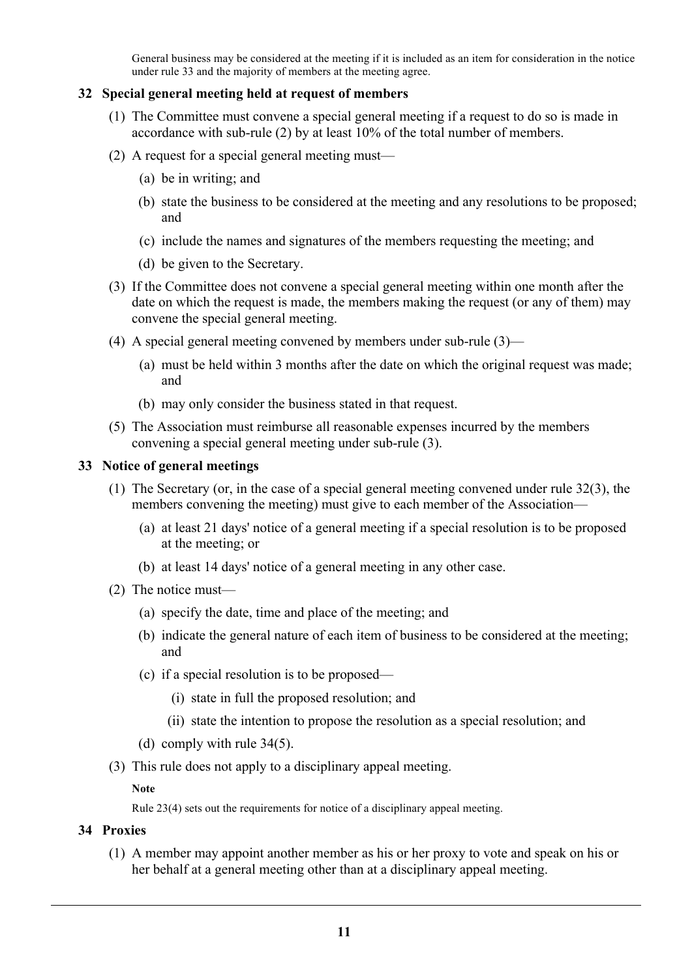General business may be considered at the meeting if it is included as an item for consideration in the notice under rule 33 and the majority of members at the meeting agree.

## **32 Special general meeting held at request of members**

- (1) The Committee must convene a special general meeting if a request to do so is made in accordance with sub-rule (2) by at least 10% of the total number of members.
- (2) A request for a special general meeting must—
	- (a) be in writing; and
	- (b) state the business to be considered at the meeting and any resolutions to be proposed; and
	- (c) include the names and signatures of the members requesting the meeting; and
	- (d) be given to the Secretary.
- (3) If the Committee does not convene a special general meeting within one month after the date on which the request is made, the members making the request (or any of them) may convene the special general meeting.
- (4) A special general meeting convened by members under sub-rule (3)—
	- (a) must be held within 3 months after the date on which the original request was made; and
	- (b) may only consider the business stated in that request.
- (5) The Association must reimburse all reasonable expenses incurred by the members convening a special general meeting under sub-rule (3).

#### **33 Notice of general meetings**

- (1) The Secretary (or, in the case of a special general meeting convened under rule 32(3), the members convening the meeting) must give to each member of the Association—
	- (a) at least 21 days' notice of a general meeting if a special resolution is to be proposed at the meeting; or
	- (b) at least 14 days' notice of a general meeting in any other case.
- (2) The notice must—
	- (a) specify the date, time and place of the meeting; and
	- (b) indicate the general nature of each item of business to be considered at the meeting; and
	- (c) if a special resolution is to be proposed—
		- (i) state in full the proposed resolution; and
		- (ii) state the intention to propose the resolution as a special resolution; and
	- (d) comply with rule 34(5).
- (3) This rule does not apply to a disciplinary appeal meeting.

#### **Note**

Rule 23(4) sets out the requirements for notice of a disciplinary appeal meeting.

#### **34 Proxies**

(1) A member may appoint another member as his or her proxy to vote and speak on his or her behalf at a general meeting other than at a disciplinary appeal meeting.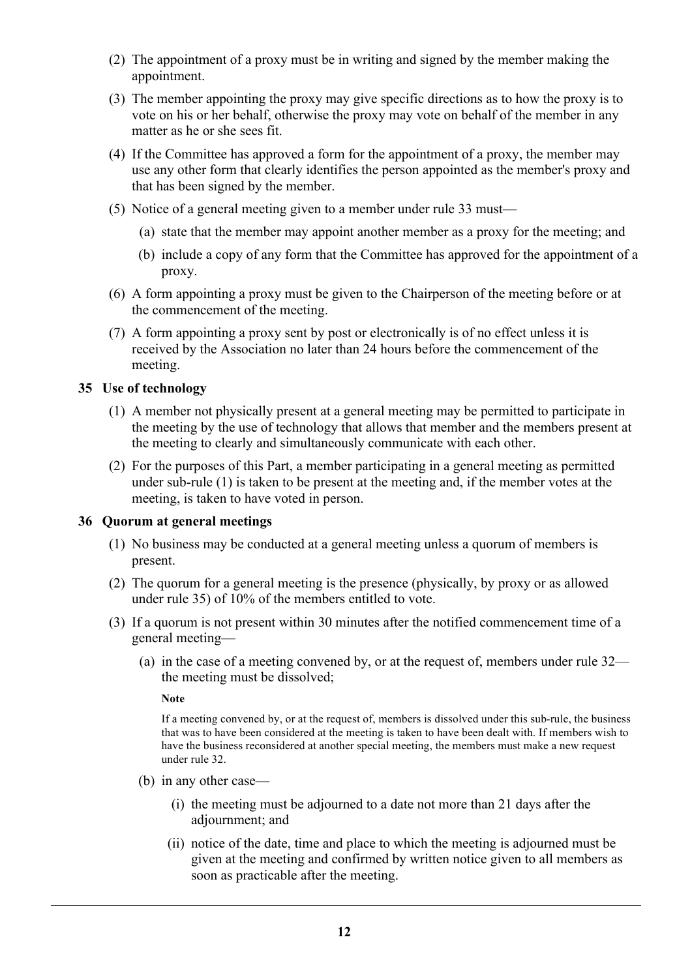- (2) The appointment of a proxy must be in writing and signed by the member making the appointment.
- (3) The member appointing the proxy may give specific directions as to how the proxy is to vote on his or her behalf, otherwise the proxy may vote on behalf of the member in any matter as he or she sees fit.
- (4) If the Committee has approved a form for the appointment of a proxy, the member may use any other form that clearly identifies the person appointed as the member's proxy and that has been signed by the member.
- (5) Notice of a general meeting given to a member under rule 33 must—
	- (a) state that the member may appoint another member as a proxy for the meeting; and
	- (b) include a copy of any form that the Committee has approved for the appointment of a proxy.
- (6) A form appointing a proxy must be given to the Chairperson of the meeting before or at the commencement of the meeting.
- (7) A form appointing a proxy sent by post or electronically is of no effect unless it is received by the Association no later than 24 hours before the commencement of the meeting.

## **35 Use of technology**

- (1) A member not physically present at a general meeting may be permitted to participate in the meeting by the use of technology that allows that member and the members present at the meeting to clearly and simultaneously communicate with each other.
- (2) For the purposes of this Part, a member participating in a general meeting as permitted under sub-rule (1) is taken to be present at the meeting and, if the member votes at the meeting, is taken to have voted in person.

#### **36 Quorum at general meetings**

- (1) No business may be conducted at a general meeting unless a quorum of members is present.
- (2) The quorum for a general meeting is the presence (physically, by proxy or as allowed under rule 35) of 10% of the members entitled to vote.
- (3) If a quorum is not present within 30 minutes after the notified commencement time of a general meeting—
	- (a) in the case of a meeting convened by, or at the request of, members under rule 32 the meeting must be dissolved;

**Note**

If a meeting convened by, or at the request of, members is dissolved under this sub-rule, the business that was to have been considered at the meeting is taken to have been dealt with. If members wish to have the business reconsidered at another special meeting, the members must make a new request under rule 32.

- (b) in any other case—
	- (i) the meeting must be adjourned to a date not more than 21 days after the adjournment; and
	- (ii) notice of the date, time and place to which the meeting is adjourned must be given at the meeting and confirmed by written notice given to all members as soon as practicable after the meeting.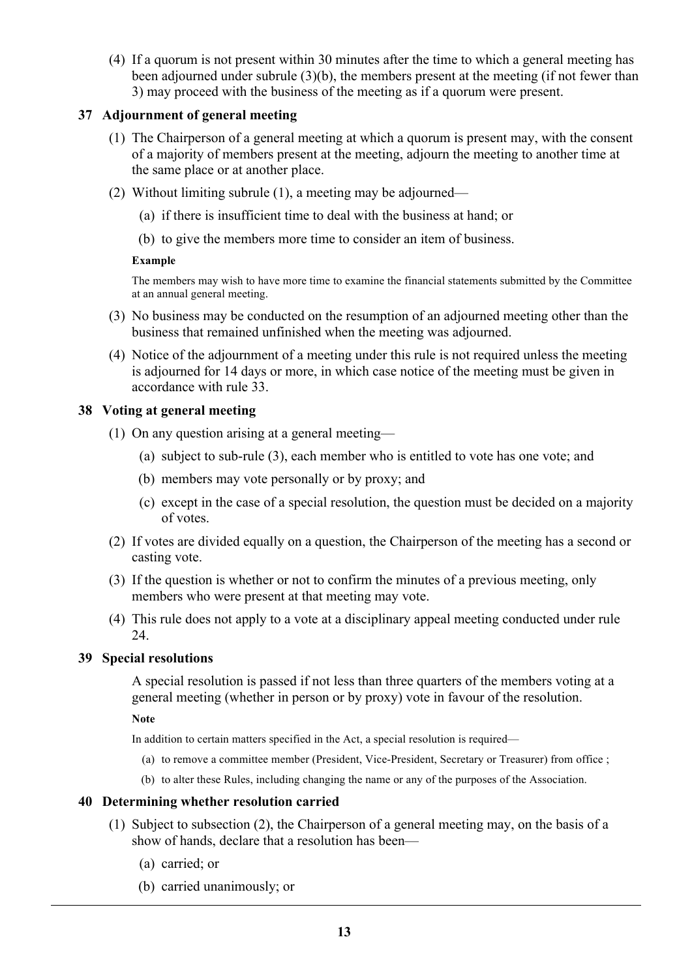(4) If a quorum is not present within 30 minutes after the time to which a general meeting has been adjourned under subrule (3)(b), the members present at the meeting (if not fewer than 3) may proceed with the business of the meeting as if a quorum were present.

## **37 Adjournment of general meeting**

- (1) The Chairperson of a general meeting at which a quorum is present may, with the consent of a majority of members present at the meeting, adjourn the meeting to another time at the same place or at another place.
- (2) Without limiting subrule (1), a meeting may be adjourned—
	- (a) if there is insufficient time to deal with the business at hand; or
	- (b) to give the members more time to consider an item of business.

#### **Example**

The members may wish to have more time to examine the financial statements submitted by the Committee at an annual general meeting.

- (3) No business may be conducted on the resumption of an adjourned meeting other than the business that remained unfinished when the meeting was adjourned.
- (4) Notice of the adjournment of a meeting under this rule is not required unless the meeting is adjourned for 14 days or more, in which case notice of the meeting must be given in accordance with rule 33.

## **38 Voting at general meeting**

- (1) On any question arising at a general meeting—
	- (a) subject to sub-rule (3), each member who is entitled to vote has one vote; and
	- (b) members may vote personally or by proxy; and
	- (c) except in the case of a special resolution, the question must be decided on a majority of votes.
- (2) If votes are divided equally on a question, the Chairperson of the meeting has a second or casting vote.
- (3) If the question is whether or not to confirm the minutes of a previous meeting, only members who were present at that meeting may vote.
- (4) This rule does not apply to a vote at a disciplinary appeal meeting conducted under rule 24.

## **39 Special resolutions**

A special resolution is passed if not less than three quarters of the members voting at a general meeting (whether in person or by proxy) vote in favour of the resolution.

**Note**

In addition to certain matters specified in the Act, a special resolution is required—

- (a) to remove a committee member (President, Vice-President, Secretary or Treasurer) from office ;
- (b) to alter these Rules, including changing the name or any of the purposes of the Association.

#### **40 Determining whether resolution carried**

- (1) Subject to subsection (2), the Chairperson of a general meeting may, on the basis of a show of hands, declare that a resolution has been—
	- (a) carried; or
	- (b) carried unanimously; or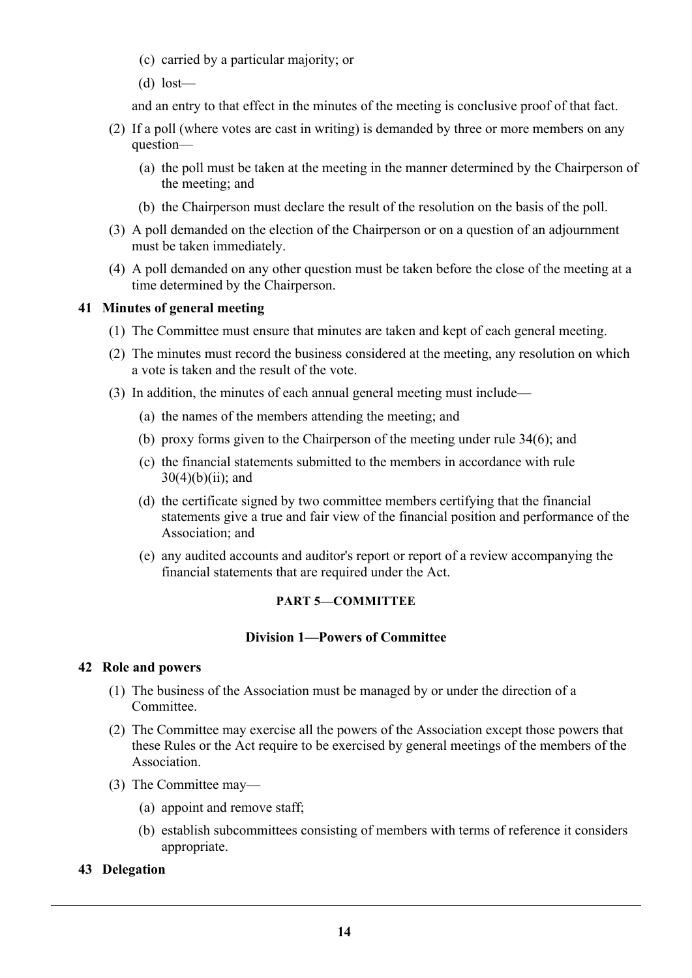- (c) carried by a particular majority; or
- (d) lost—

and an entry to that effect in the minutes of the meeting is conclusive proof of that fact.

- (2) If a poll (where votes are cast in writing) is demanded by three or more members on any question—
	- (a) the poll must be taken at the meeting in the manner determined by the Chairperson of the meeting; and
	- (b) the Chairperson must declare the result of the resolution on the basis of the poll.
- (3) A poll demanded on the election of the Chairperson or on a question of an adjournment must be taken immediately.
- (4) A poll demanded on any other question must be taken before the close of the meeting at a time determined by the Chairperson.

#### **41 Minutes of general meeting**

- (1) The Committee must ensure that minutes are taken and kept of each general meeting.
- (2) The minutes must record the business considered at the meeting, any resolution on which a vote is taken and the result of the vote.
- (3) In addition, the minutes of each annual general meeting must include—
	- (a) the names of the members attending the meeting; and
	- (b) proxy forms given to the Chairperson of the meeting under rule 34(6); and
	- (c) the financial statements submitted to the members in accordance with rule  $30(4)(b)(ii)$ ; and
	- (d) the certificate signed by two committee members certifying that the financial statements give a true and fair view of the financial position and performance of the Association; and
	- (e) any audited accounts and auditor's report or report of a review accompanying the financial statements that are required under the Act.

#### **PART 5—COMMITTEE**

#### **Division 1—Powers of Committee**

#### **42 Role and powers**

- (1) The business of the Association must be managed by or under the direction of a **Committee**
- (2) The Committee may exercise all the powers of the Association except those powers that these Rules or the Act require to be exercised by general meetings of the members of the Association.
- (3) The Committee may—
	- (a) appoint and remove staff;
	- (b) establish subcommittees consisting of members with terms of reference it considers appropriate.

#### **43 Delegation**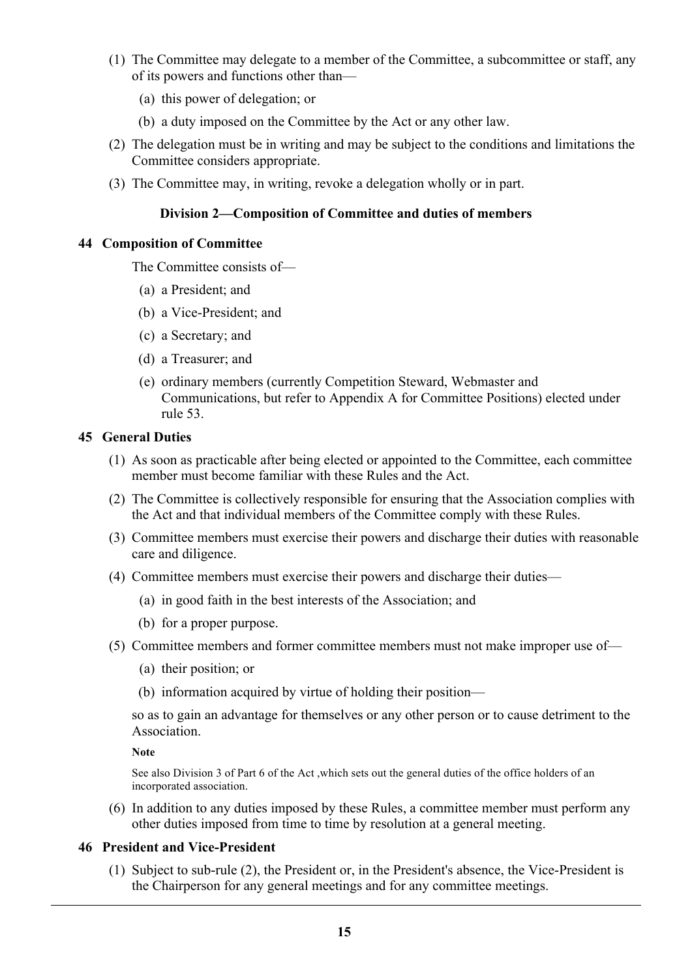- (1) The Committee may delegate to a member of the Committee, a subcommittee or staff, any of its powers and functions other than—
	- (a) this power of delegation; or
	- (b) a duty imposed on the Committee by the Act or any other law.
- (2) The delegation must be in writing and may be subject to the conditions and limitations the Committee considers appropriate.
- (3) The Committee may, in writing, revoke a delegation wholly or in part.

#### **Division 2—Composition of Committee and duties of members**

#### **44 Composition of Committee**

The Committee consists of—

- (a) a President; and
- (b) a Vice-President; and
- (c) a Secretary; and
- (d) a Treasurer; and
- (e) ordinary members (currently Competition Steward, Webmaster and Communications, but refer to Appendix A for Committee Positions) elected under rule 53.

#### **45 General Duties**

- (1) As soon as practicable after being elected or appointed to the Committee, each committee member must become familiar with these Rules and the Act.
- (2) The Committee is collectively responsible for ensuring that the Association complies with the Act and that individual members of the Committee comply with these Rules.
- (3) Committee members must exercise their powers and discharge their duties with reasonable care and diligence.
- (4) Committee members must exercise their powers and discharge their duties—
	- (a) in good faith in the best interests of the Association; and
	- (b) for a proper purpose.
- (5) Committee members and former committee members must not make improper use of—
	- (a) their position; or
	- (b) information acquired by virtue of holding their position—

so as to gain an advantage for themselves or any other person or to cause detriment to the Association.

**Note**

See also Division 3 of Part 6 of the Act ,which sets out the general duties of the office holders of an incorporated association.

(6) In addition to any duties imposed by these Rules, a committee member must perform any other duties imposed from time to time by resolution at a general meeting.

## **46 President and Vice-President**

(1) Subject to sub-rule (2), the President or, in the President's absence, the Vice-President is the Chairperson for any general meetings and for any committee meetings.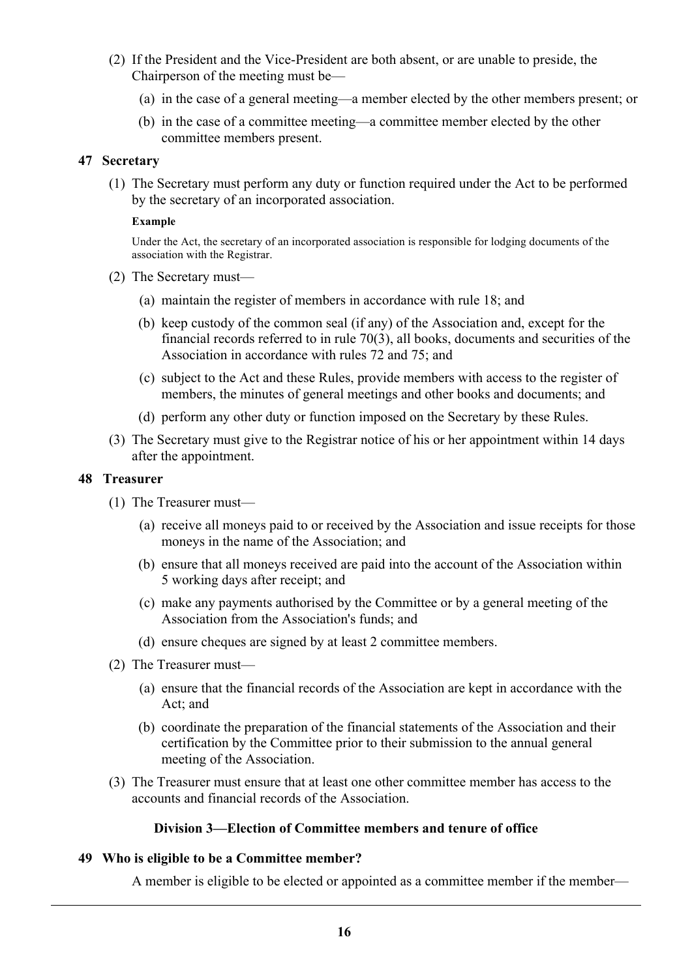- (2) If the President and the Vice-President are both absent, or are unable to preside, the Chairperson of the meeting must be—
	- (a) in the case of a general meeting—a member elected by the other members present; or
	- (b) in the case of a committee meeting—a committee member elected by the other committee members present.

#### **47 Secretary**

(1) The Secretary must perform any duty or function required under the Act to be performed by the secretary of an incorporated association.

#### **Example**

Under the Act, the secretary of an incorporated association is responsible for lodging documents of the association with the Registrar.

- (2) The Secretary must—
	- (a) maintain the register of members in accordance with rule 18; and
	- (b) keep custody of the common seal (if any) of the Association and, except for the financial records referred to in rule 70(3), all books, documents and securities of the Association in accordance with rules 72 and 75; and
	- (c) subject to the Act and these Rules, provide members with access to the register of members, the minutes of general meetings and other books and documents; and
	- (d) perform any other duty or function imposed on the Secretary by these Rules.
- (3) The Secretary must give to the Registrar notice of his or her appointment within 14 days after the appointment.

#### **48 Treasurer**

- (1) The Treasurer must—
	- (a) receive all moneys paid to or received by the Association and issue receipts for those moneys in the name of the Association; and
	- (b) ensure that all moneys received are paid into the account of the Association within 5 working days after receipt; and
	- (c) make any payments authorised by the Committee or by a general meeting of the Association from the Association's funds; and
	- (d) ensure cheques are signed by at least 2 committee members.
- (2) The Treasurer must—
	- (a) ensure that the financial records of the Association are kept in accordance with the Act; and
	- (b) coordinate the preparation of the financial statements of the Association and their certification by the Committee prior to their submission to the annual general meeting of the Association.
- (3) The Treasurer must ensure that at least one other committee member has access to the accounts and financial records of the Association.

#### **Division 3—Election of Committee members and tenure of office**

## **49 Who is eligible to be a Committee member?**

A member is eligible to be elected or appointed as a committee member if the member—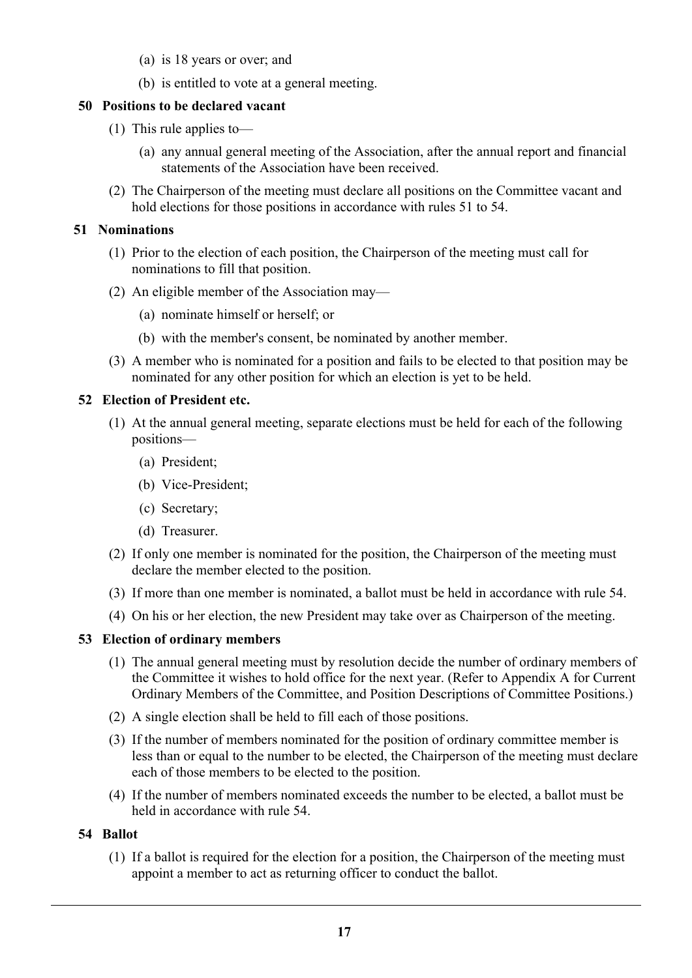- (a) is 18 years or over; and
- (b) is entitled to vote at a general meeting.

## **50 Positions to be declared vacant**

- (1) This rule applies to—
	- (a) any annual general meeting of the Association, after the annual report and financial statements of the Association have been received.
- (2) The Chairperson of the meeting must declare all positions on the Committee vacant and hold elections for those positions in accordance with rules 51 to 54.

#### **51 Nominations**

- (1) Prior to the election of each position, the Chairperson of the meeting must call for nominations to fill that position.
- (2) An eligible member of the Association may—
	- (a) nominate himself or herself; or
	- (b) with the member's consent, be nominated by another member.
- (3) A member who is nominated for a position and fails to be elected to that position may be nominated for any other position for which an election is yet to be held.

#### **52 Election of President etc.**

- (1) At the annual general meeting, separate elections must be held for each of the following positions—
	- (a) President;
	- (b) Vice-President;
	- (c) Secretary;
	- (d) Treasurer.
- (2) If only one member is nominated for the position, the Chairperson of the meeting must declare the member elected to the position.
- (3) If more than one member is nominated, a ballot must be held in accordance with rule 54.
- (4) On his or her election, the new President may take over as Chairperson of the meeting.

## **53 Election of ordinary members**

- (1) The annual general meeting must by resolution decide the number of ordinary members of the Committee it wishes to hold office for the next year. (Refer to Appendix A for Current Ordinary Members of the Committee, and Position Descriptions of Committee Positions.)
- (2) A single election shall be held to fill each of those positions.
- (3) If the number of members nominated for the position of ordinary committee member is less than or equal to the number to be elected, the Chairperson of the meeting must declare each of those members to be elected to the position.
- (4) If the number of members nominated exceeds the number to be elected, a ballot must be held in accordance with rule 54.

## **54 Ballot**

(1) If a ballot is required for the election for a position, the Chairperson of the meeting must appoint a member to act as returning officer to conduct the ballot.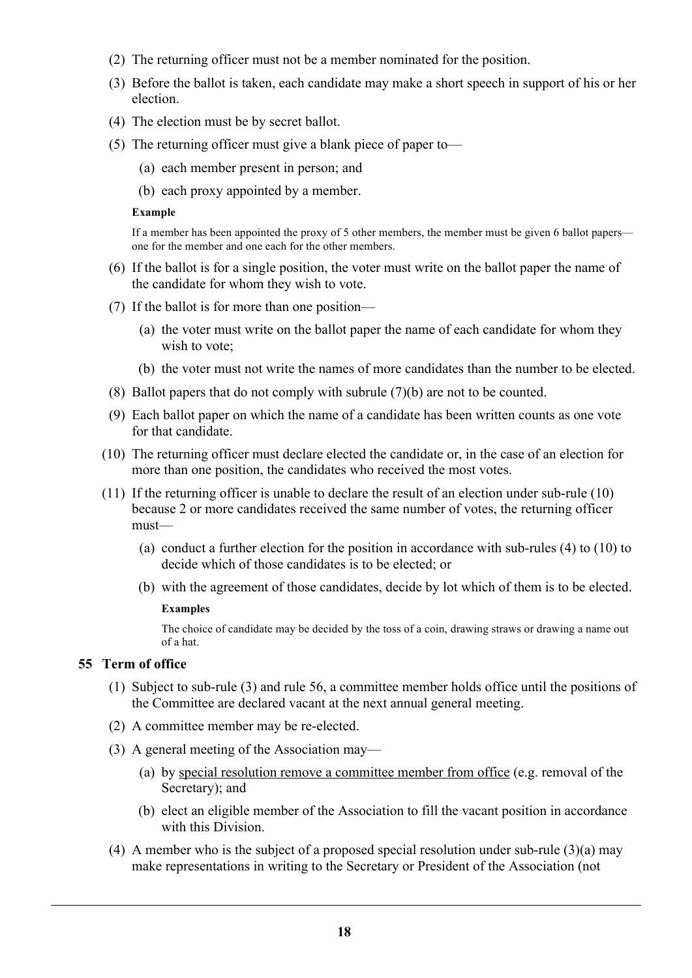- (2) The returning officer must not be a member nominated for the position.
- (3) Before the ballot is taken, each candidate may make a short speech in support of his or her election.
- (4) The election must be by secret ballot.
- (5) The returning officer must give a blank piece of paper to—
	- (a) each member present in person; and
	- (b) each proxy appointed by a member.

#### **Example**

If a member has been appointed the proxy of 5 other members, the member must be given 6 ballot papers one for the member and one each for the other members.

- (6) If the ballot is for a single position, the voter must write on the ballot paper the name of the candidate for whom they wish to vote.
- (7) If the ballot is for more than one position—
	- (a) the voter must write on the ballot paper the name of each candidate for whom they wish to vote;
	- (b) the voter must not write the names of more candidates than the number to be elected.
- (8) Ballot papers that do not comply with subrule (7)(b) are not to be counted.
- (9) Each ballot paper on which the name of a candidate has been written counts as one vote for that candidate.
- (10) The returning officer must declare elected the candidate or, in the case of an election for more than one position, the candidates who received the most votes.
- (11) If the returning officer is unable to declare the result of an election under sub-rule (10) because 2 or more candidates received the same number of votes, the returning officer must—
	- (a) conduct a further election for the position in accordance with sub-rules (4) to (10) to decide which of those candidates is to be elected; or
	- (b) with the agreement of those candidates, decide by lot which of them is to be elected.

#### **Examples**

The choice of candidate may be decided by the toss of a coin, drawing straws or drawing a name out of a hat.

## **55 Term of office**

- (1) Subject to sub-rule (3) and rule 56, a committee member holds office until the positions of the Committee are declared vacant at the next annual general meeting.
- (2) A committee member may be re-elected.
- (3) A general meeting of the Association may—
	- (a) by special resolution remove a committee member from office (e.g. removal of the Secretary); and
	- (b) elect an eligible member of the Association to fill the vacant position in accordance with this Division.
- (4) A member who is the subject of a proposed special resolution under sub-rule (3)(a) may make representations in writing to the Secretary or President of the Association (not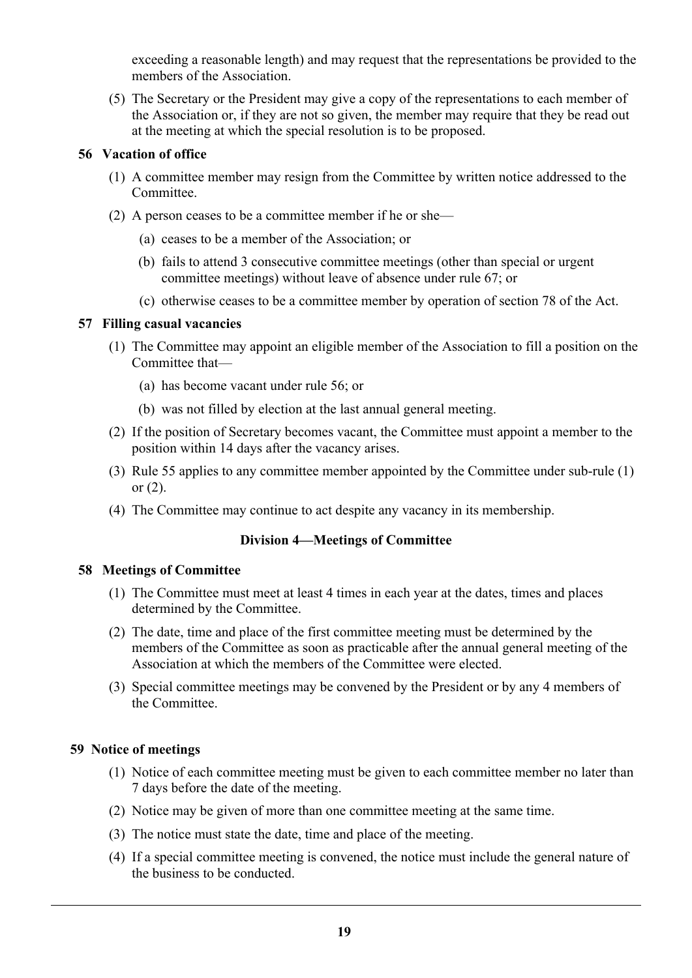exceeding a reasonable length) and may request that the representations be provided to the members of the Association.

(5) The Secretary or the President may give a copy of the representations to each member of the Association or, if they are not so given, the member may require that they be read out at the meeting at which the special resolution is to be proposed.

#### **56 Vacation of office**

- (1) A committee member may resign from the Committee by written notice addressed to the Committee.
- (2) A person ceases to be a committee member if he or she—
	- (a) ceases to be a member of the Association; or
	- (b) fails to attend 3 consecutive committee meetings (other than special or urgent committee meetings) without leave of absence under rule 67; or
	- (c) otherwise ceases to be a committee member by operation of section 78 of the Act.

## **57 Filling casual vacancies**

- (1) The Committee may appoint an eligible member of the Association to fill a position on the Committee that—
	- (a) has become vacant under rule 56; or
	- (b) was not filled by election at the last annual general meeting.
- (2) If the position of Secretary becomes vacant, the Committee must appoint a member to the position within 14 days after the vacancy arises.
- (3) Rule 55 applies to any committee member appointed by the Committee under sub-rule (1) or  $(2)$ .
- (4) The Committee may continue to act despite any vacancy in its membership.

## **Division 4—Meetings of Committee**

#### **58 Meetings of Committee**

- (1) The Committee must meet at least 4 times in each year at the dates, times and places determined by the Committee.
- (2) The date, time and place of the first committee meeting must be determined by the members of the Committee as soon as practicable after the annual general meeting of the Association at which the members of the Committee were elected.
- (3) Special committee meetings may be convened by the President or by any 4 members of the Committee.

## **59 Notice of meetings**

- (1) Notice of each committee meeting must be given to each committee member no later than 7 days before the date of the meeting.
- (2) Notice may be given of more than one committee meeting at the same time.
- (3) The notice must state the date, time and place of the meeting.
- (4) If a special committee meeting is convened, the notice must include the general nature of the business to be conducted.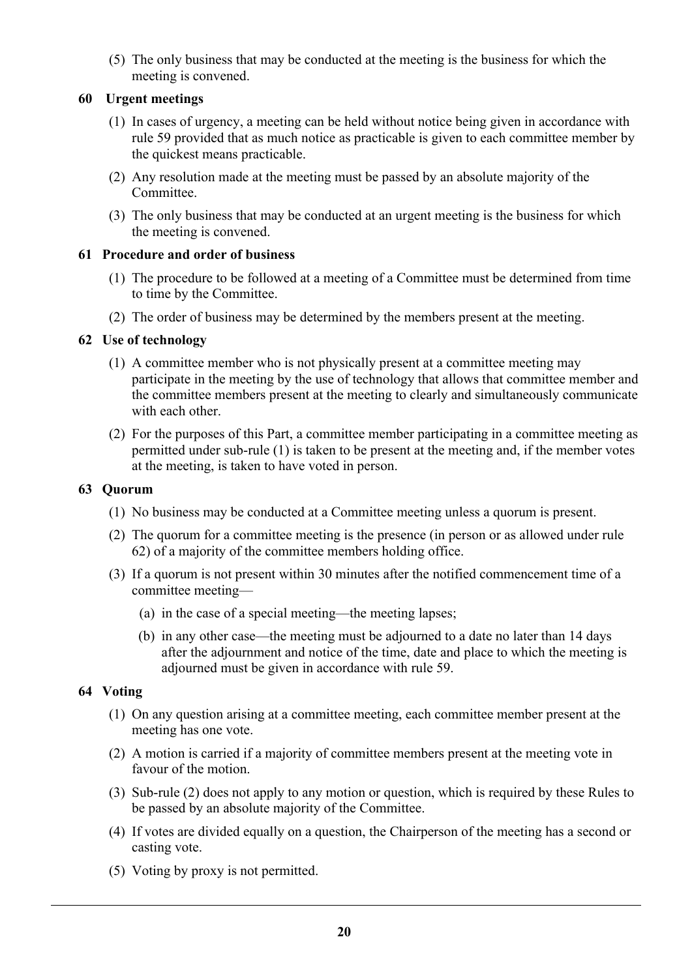(5) The only business that may be conducted at the meeting is the business for which the meeting is convened.

## **60 Urgent meetings**

- (1) In cases of urgency, a meeting can be held without notice being given in accordance with rule 59 provided that as much notice as practicable is given to each committee member by the quickest means practicable.
- (2) Any resolution made at the meeting must be passed by an absolute majority of the Committee.
- (3) The only business that may be conducted at an urgent meeting is the business for which the meeting is convened.

## **61 Procedure and order of business**

- (1) The procedure to be followed at a meeting of a Committee must be determined from time to time by the Committee.
- (2) The order of business may be determined by the members present at the meeting.

## **62 Use of technology**

- (1) A committee member who is not physically present at a committee meeting may participate in the meeting by the use of technology that allows that committee member and the committee members present at the meeting to clearly and simultaneously communicate with each other.
- (2) For the purposes of this Part, a committee member participating in a committee meeting as permitted under sub-rule (1) is taken to be present at the meeting and, if the member votes at the meeting, is taken to have voted in person.

#### **63 Quorum**

- (1) No business may be conducted at a Committee meeting unless a quorum is present.
- (2) The quorum for a committee meeting is the presence (in person or as allowed under rule 62) of a majority of the committee members holding office.
- (3) If a quorum is not present within 30 minutes after the notified commencement time of a committee meeting—
	- (a) in the case of a special meeting—the meeting lapses;
	- (b) in any other case—the meeting must be adjourned to a date no later than 14 days after the adjournment and notice of the time, date and place to which the meeting is adjourned must be given in accordance with rule 59.

#### **64 Voting**

- (1) On any question arising at a committee meeting, each committee member present at the meeting has one vote.
- (2) A motion is carried if a majority of committee members present at the meeting vote in favour of the motion.
- (3) Sub-rule (2) does not apply to any motion or question, which is required by these Rules to be passed by an absolute majority of the Committee.
- (4) If votes are divided equally on a question, the Chairperson of the meeting has a second or casting vote.
- (5) Voting by proxy is not permitted.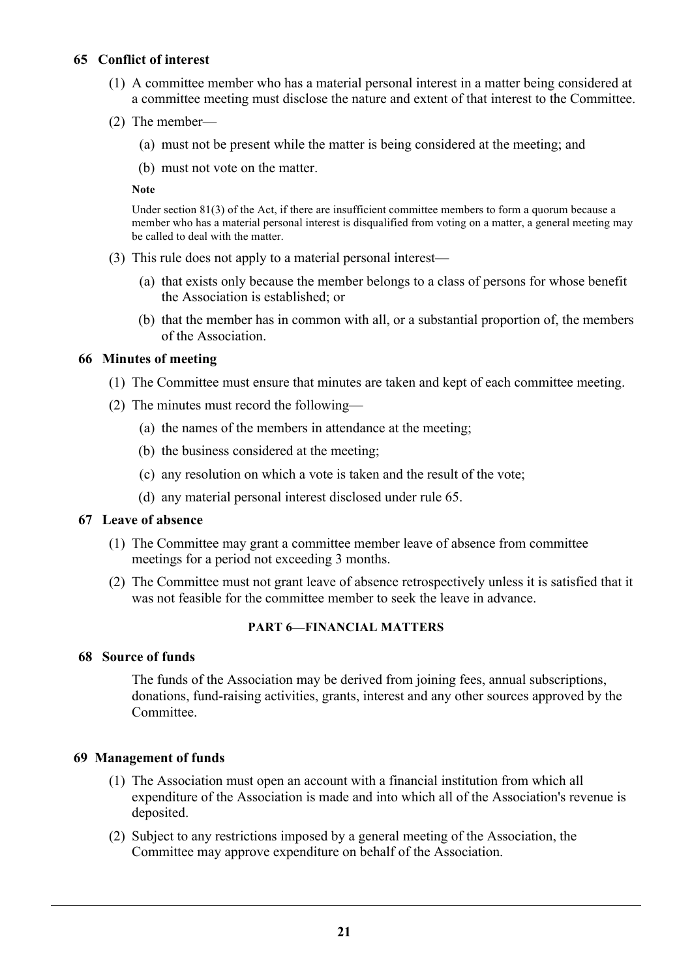## **65 Conflict of interest**

- (1) A committee member who has a material personal interest in a matter being considered at a committee meeting must disclose the nature and extent of that interest to the Committee.
- (2) The member—
	- (a) must not be present while the matter is being considered at the meeting; and
	- (b) must not vote on the matter.

#### **Note**

Under section 81(3) of the Act, if there are insufficient committee members to form a quorum because a member who has a material personal interest is disqualified from voting on a matter, a general meeting may be called to deal with the matter.

- (3) This rule does not apply to a material personal interest—
	- (a) that exists only because the member belongs to a class of persons for whose benefit the Association is established; or
	- (b) that the member has in common with all, or a substantial proportion of, the members of the Association.

#### **66 Minutes of meeting**

- (1) The Committee must ensure that minutes are taken and kept of each committee meeting.
- (2) The minutes must record the following—
	- (a) the names of the members in attendance at the meeting;
	- (b) the business considered at the meeting;
	- (c) any resolution on which a vote is taken and the result of the vote;
	- (d) any material personal interest disclosed under rule 65.

#### **67 Leave of absence**

- (1) The Committee may grant a committee member leave of absence from committee meetings for a period not exceeding 3 months.
- (2) The Committee must not grant leave of absence retrospectively unless it is satisfied that it was not feasible for the committee member to seek the leave in advance.

#### **PART 6—FINANCIAL MATTERS**

#### **68 Source of funds**

The funds of the Association may be derived from joining fees, annual subscriptions, donations, fund-raising activities, grants, interest and any other sources approved by the **Committee** 

## **69 Management of funds**

- (1) The Association must open an account with a financial institution from which all expenditure of the Association is made and into which all of the Association's revenue is deposited.
- (2) Subject to any restrictions imposed by a general meeting of the Association, the Committee may approve expenditure on behalf of the Association.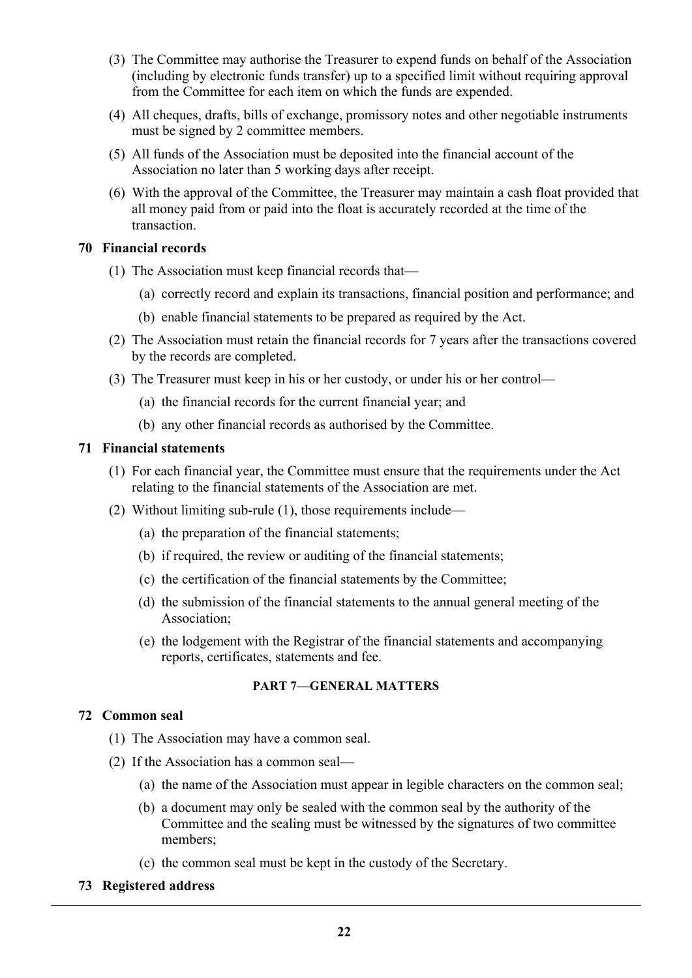- (3) The Committee may authorise the Treasurer to expend funds on behalf of the Association (including by electronic funds transfer) up to a specified limit without requiring approval from the Committee for each item on which the funds are expended.
- (4) All cheques, drafts, bills of exchange, promissory notes and other negotiable instruments must be signed by 2 committee members.
- (5) All funds of the Association must be deposited into the financial account of the Association no later than 5 working days after receipt.
- (6) With the approval of the Committee, the Treasurer may maintain a cash float provided that all money paid from or paid into the float is accurately recorded at the time of the transaction.

## **70 Financial records**

- (1) The Association must keep financial records that—
	- (a) correctly record and explain its transactions, financial position and performance; and
	- (b) enable financial statements to be prepared as required by the Act.
- (2) The Association must retain the financial records for 7 years after the transactions covered by the records are completed.
- (3) The Treasurer must keep in his or her custody, or under his or her control—
	- (a) the financial records for the current financial year; and
	- (b) any other financial records as authorised by the Committee.

#### **71 Financial statements**

- (1) For each financial year, the Committee must ensure that the requirements under the Act relating to the financial statements of the Association are met.
- (2) Without limiting sub-rule (1), those requirements include—
	- (a) the preparation of the financial statements;
	- (b) if required, the review or auditing of the financial statements;
	- (c) the certification of the financial statements by the Committee;
	- (d) the submission of the financial statements to the annual general meeting of the Association;
	- (e) the lodgement with the Registrar of the financial statements and accompanying reports, certificates, statements and fee.

#### **PART 7—GENERAL MATTERS**

#### **72 Common seal**

- (1) The Association may have a common seal.
- (2) If the Association has a common seal—
	- (a) the name of the Association must appear in legible characters on the common seal;
	- (b) a document may only be sealed with the common seal by the authority of the Committee and the sealing must be witnessed by the signatures of two committee members;
	- (c) the common seal must be kept in the custody of the Secretary.

#### **73 Registered address**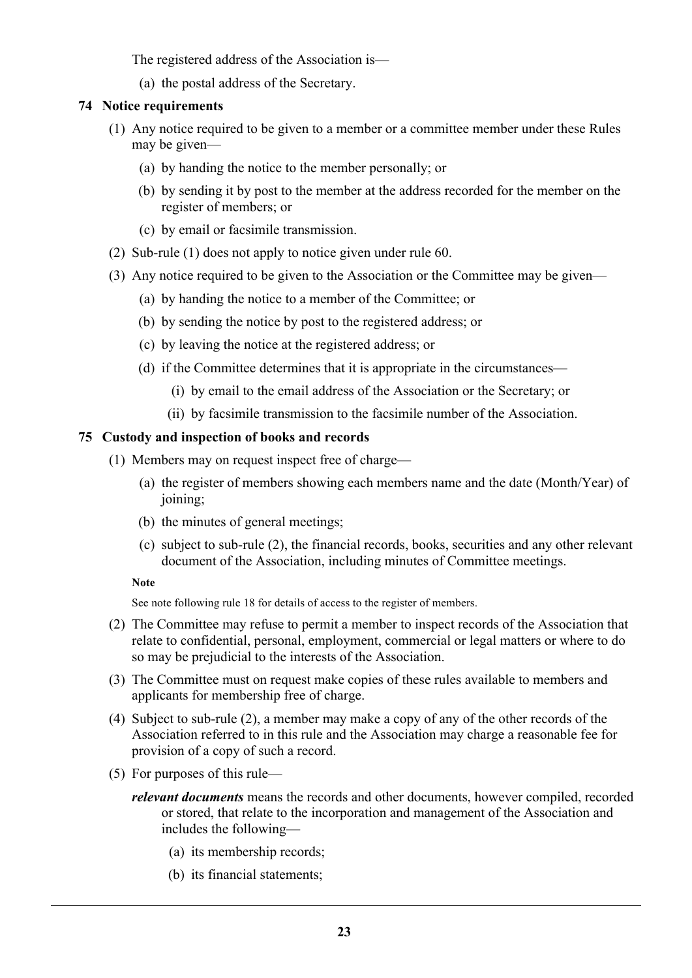The registered address of the Association is—

(a) the postal address of the Secretary.

## **74 Notice requirements**

- (1) Any notice required to be given to a member or a committee member under these Rules may be given—
	- (a) by handing the notice to the member personally; or
	- (b) by sending it by post to the member at the address recorded for the member on the register of members; or
	- (c) by email or facsimile transmission.
- (2) Sub-rule (1) does not apply to notice given under rule 60.
- (3) Any notice required to be given to the Association or the Committee may be given—
	- (a) by handing the notice to a member of the Committee; or
	- (b) by sending the notice by post to the registered address; or
	- (c) by leaving the notice at the registered address; or
	- (d) if the Committee determines that it is appropriate in the circumstances—
		- (i) by email to the email address of the Association or the Secretary; or
		- (ii) by facsimile transmission to the facsimile number of the Association.

#### **75 Custody and inspection of books and records**

- (1) Members may on request inspect free of charge—
	- (a) the register of members showing each members name and the date (Month/Year) of joining;
	- (b) the minutes of general meetings;
	- (c) subject to sub-rule (2), the financial records, books, securities and any other relevant document of the Association, including minutes of Committee meetings.

**Note**

See note following rule 18 for details of access to the register of members.

- (2) The Committee may refuse to permit a member to inspect records of the Association that relate to confidential, personal, employment, commercial or legal matters or where to do so may be prejudicial to the interests of the Association.
- (3) The Committee must on request make copies of these rules available to members and applicants for membership free of charge.
- (4) Subject to sub-rule (2), a member may make a copy of any of the other records of the Association referred to in this rule and the Association may charge a reasonable fee for provision of a copy of such a record.
- (5) For purposes of this rule
	- *relevant documents* means the records and other documents, however compiled, recorded or stored, that relate to the incorporation and management of the Association and includes the following—
		- (a) its membership records;
		- (b) its financial statements;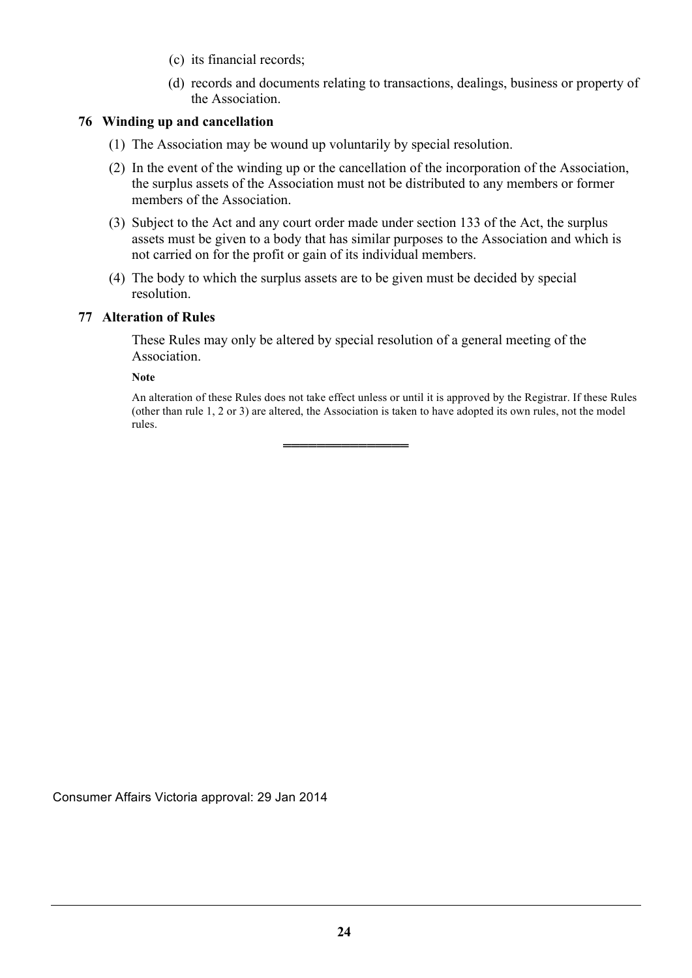- (c) its financial records;
- (d) records and documents relating to transactions, dealings, business or property of the Association.

## **76 Winding up and cancellation**

- (1) The Association may be wound up voluntarily by special resolution.
- (2) In the event of the winding up or the cancellation of the incorporation of the Association, the surplus assets of the Association must not be distributed to any members or former members of the Association.
- (3) Subject to the Act and any court order made under section 133 of the Act, the surplus assets must be given to a body that has similar purposes to the Association and which is not carried on for the profit or gain of its individual members.
- (4) The body to which the surplus assets are to be given must be decided by special resolution.

#### **77 Alteration of Rules**

These Rules may only be altered by special resolution of a general meeting of the Association.

═══════════════

**Note**

An alteration of these Rules does not take effect unless or until it is approved by the Registrar. If these Rules (other than rule 1, 2 or 3) are altered, the Association is taken to have adopted its own rules, not the model rules.

Consumer Affairs Victoria approval: 29 Jan 2014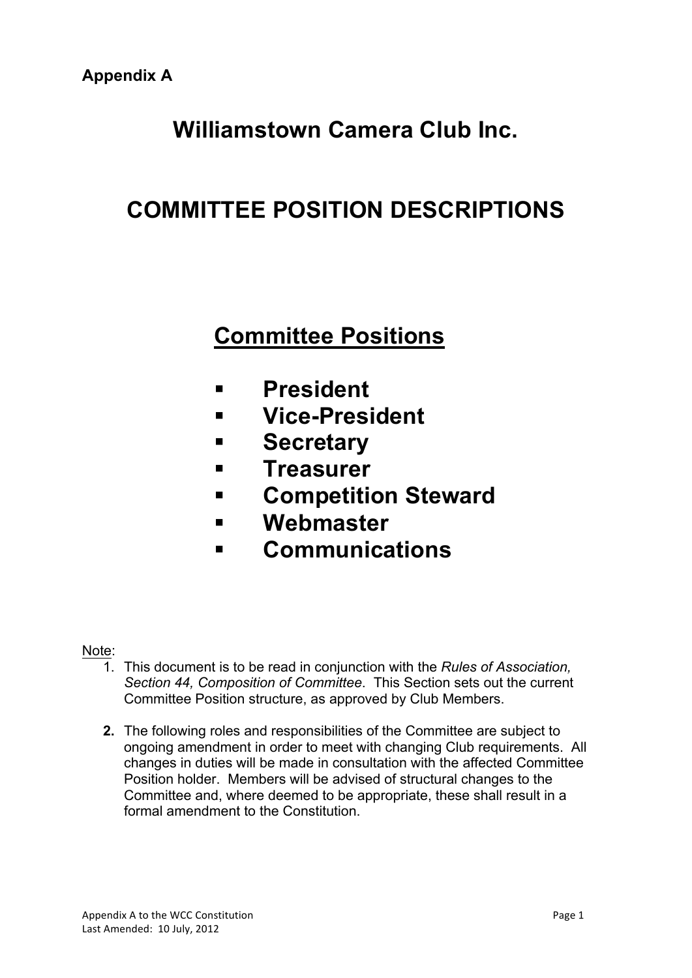# **Williamstown Camera Club Inc.**

# **COMMITTEE POSITION DESCRIPTIONS**

# **Committee Positions**

- § **President**
- § **Vice-President**
- § **Secretary**
- § **Treasurer**
- § **Competition Steward**
- § **Webmaster**
- § **Communications**

# Note:

- 1. This document is to be read in conjunction with the *Rules of Association, Section 44, Composition of Committee*. This Section sets out the current Committee Position structure, as approved by Club Members.
- **2.** The following roles and responsibilities of the Committee are subject to ongoing amendment in order to meet with changing Club requirements. All changes in duties will be made in consultation with the affected Committee Position holder. Members will be advised of structural changes to the Committee and, where deemed to be appropriate, these shall result in a formal amendment to the Constitution.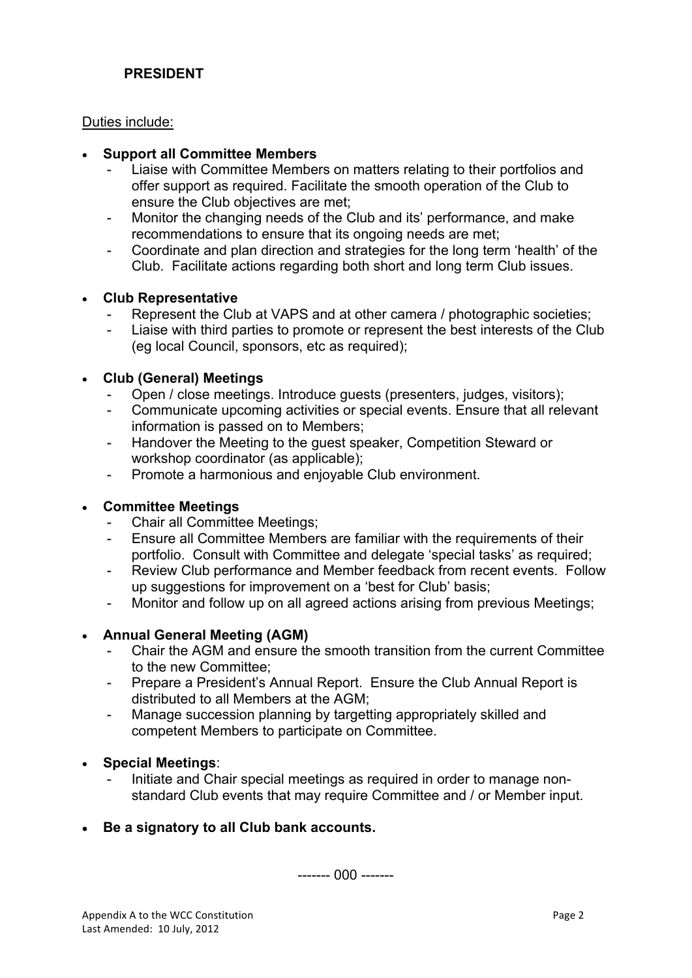# **PRESIDENT**

Duties include:

#### • **Support all Committee Members**

- Liaise with Committee Members on matters relating to their portfolios and offer support as required. Facilitate the smooth operation of the Club to ensure the Club objectives are met;
- Monitor the changing needs of the Club and its' performance, and make recommendations to ensure that its ongoing needs are met;
- Coordinate and plan direction and strategies for the long term 'health' of the Club. Facilitate actions regarding both short and long term Club issues.

## • **Club Representative**

- Represent the Club at VAPS and at other camera / photographic societies:
- Liaise with third parties to promote or represent the best interests of the Club (eg local Council, sponsors, etc as required);

## • **Club (General) Meetings**

- Open / close meetings. Introduce guests (presenters, judges, visitors);
- Communicate upcoming activities or special events. Ensure that all relevant information is passed on to Members;
- Handover the Meeting to the guest speaker, Competition Steward or workshop coordinator (as applicable);
- Promote a harmonious and enjoyable Club environment.

#### • **Committee Meetings**

- Chair all Committee Meetings;
- Ensure all Committee Members are familiar with the requirements of their portfolio. Consult with Committee and delegate 'special tasks' as required;
- Review Club performance and Member feedback from recent events. Follow up suggestions for improvement on a 'best for Club' basis;
- Monitor and follow up on all agreed actions arising from previous Meetings;

## • **Annual General Meeting (AGM)**

- Chair the AGM and ensure the smooth transition from the current Committee to the new Committee;
- Prepare a President's Annual Report. Ensure the Club Annual Report is distributed to all Members at the AGM;
- Manage succession planning by targetting appropriately skilled and competent Members to participate on Committee.

## • **Special Meetings**:

- Initiate and Chair special meetings as required in order to manage nonstandard Club events that may require Committee and / or Member input.
- **Be a signatory to all Club bank accounts.**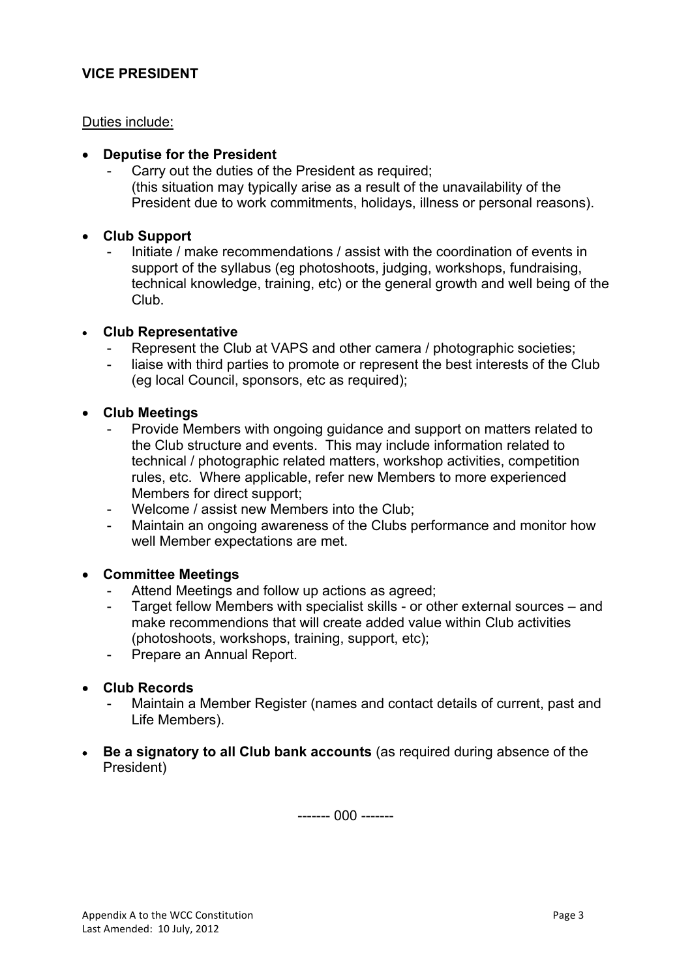## **VICE PRESIDENT**

## Duties include:

## • **Deputise for the President**

Carry out the duties of the President as required; (this situation may typically arise as a result of the unavailability of the President due to work commitments, holidays, illness or personal reasons).

## • **Club Support**

Initiate / make recommendations / assist with the coordination of events in support of the syllabus (eg photoshoots, judging, workshops, fundraising, technical knowledge, training, etc) or the general growth and well being of the Club.

#### • **Club Representative**

- Represent the Club at VAPS and other camera / photographic societies;
- liaise with third parties to promote or represent the best interests of the Club (eg local Council, sponsors, etc as required);

#### • **Club Meetings**

- Provide Members with ongoing guidance and support on matters related to the Club structure and events. This may include information related to technical / photographic related matters, workshop activities, competition rules, etc. Where applicable, refer new Members to more experienced Members for direct support;
- Welcome / assist new Members into the Club;
- Maintain an ongoing awareness of the Clubs performance and monitor how well Member expectations are met.

## • **Committee Meetings**

- Attend Meetings and follow up actions as agreed;
- Target fellow Members with specialist skills or other external sources and make recommendions that will create added value within Club activities (photoshoots, workshops, training, support, etc);
- Prepare an Annual Report.

## • **Club Records**

- Maintain a Member Register (names and contact details of current, past and Life Members).
- **Be a signatory to all Club bank accounts** (as required during absence of the President)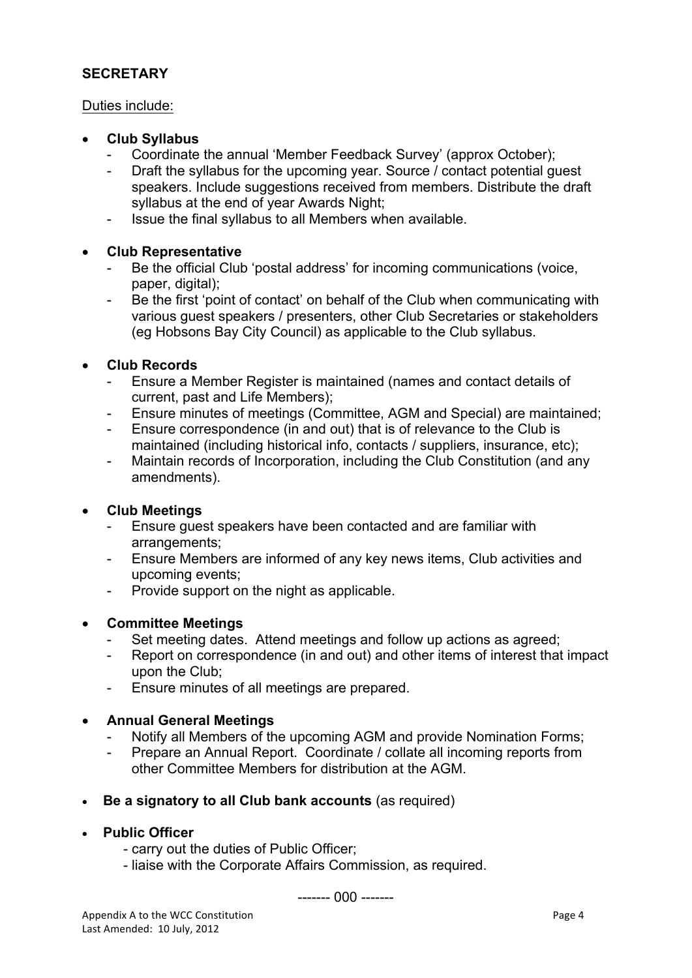# **SECRETARY**

## Duties include:

## • **Club Syllabus**

- Coordinate the annual 'Member Feedback Survey' (approx October);
- Draft the syllabus for the upcoming year. Source / contact potential guest speakers. Include suggestions received from members. Distribute the draft syllabus at the end of year Awards Night;
- Issue the final syllabus to all Members when available.

# • **Club Representative**

- Be the official Club 'postal address' for incoming communications (voice, paper, digital);
- Be the first 'point of contact' on behalf of the Club when communicating with various guest speakers / presenters, other Club Secretaries or stakeholders (eg Hobsons Bay City Council) as applicable to the Club syllabus.

## • **Club Records**

- Ensure a Member Register is maintained (names and contact details of current, past and Life Members);
- Ensure minutes of meetings (Committee, AGM and Special) are maintained;
- Ensure correspondence (in and out) that is of relevance to the Club is maintained (including historical info, contacts / suppliers, insurance, etc);
- Maintain records of Incorporation, including the Club Constitution (and any amendments).

# • **Club Meetings**

- Ensure guest speakers have been contacted and are familiar with arrangements;
- Ensure Members are informed of any key news items, Club activities and upcoming events;
- Provide support on the night as applicable.

# • **Committee Meetings**

- Set meeting dates. Attend meetings and follow up actions as agreed;
- Report on correspondence (in and out) and other items of interest that impact upon the Club;
- Ensure minutes of all meetings are prepared.

# • **Annual General Meetings**

- Notify all Members of the upcoming AGM and provide Nomination Forms;
- Prepare an Annual Report. Coordinate / collate all incoming reports from other Committee Members for distribution at the AGM.
- **Be a signatory to all Club bank accounts** (as required)

## • **Public Officer**

- carry out the duties of Public Officer;
- liaise with the Corporate Affairs Commission, as required.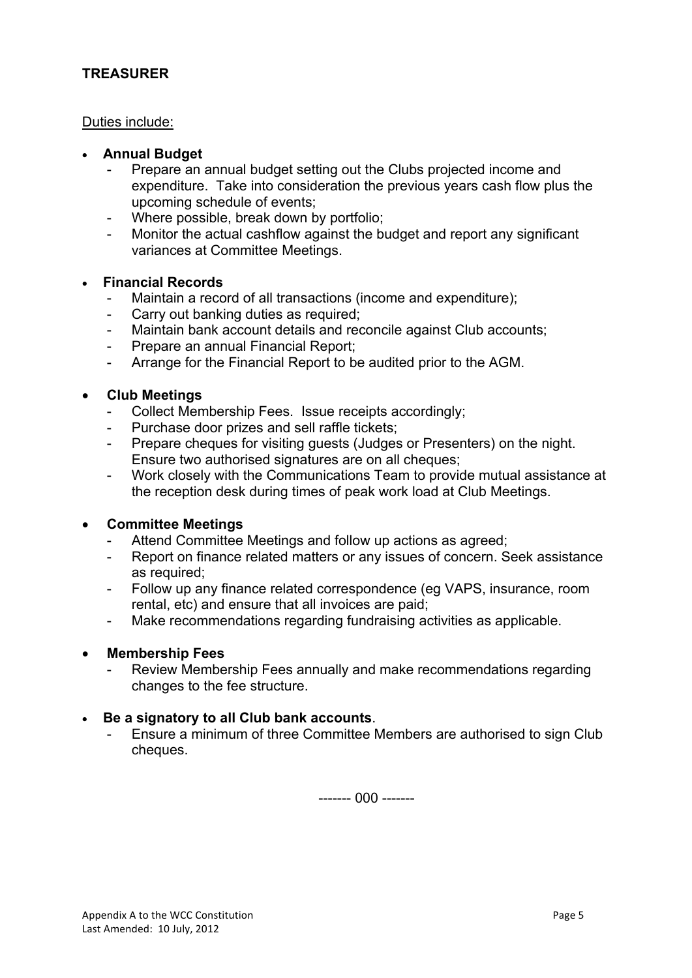# **TREASURER**

## Duties include:

## • **Annual Budget**

- Prepare an annual budget setting out the Clubs projected income and expenditure. Take into consideration the previous years cash flow plus the upcoming schedule of events;
- Where possible, break down by portfolio;
- Monitor the actual cashflow against the budget and report any significant variances at Committee Meetings.

#### • **Financial Records**

- Maintain a record of all transactions (income and expenditure);
- Carry out banking duties as required;
- Maintain bank account details and reconcile against Club accounts;
- Prepare an annual Financial Report;
- Arrange for the Financial Report to be audited prior to the AGM.

#### • **Club Meetings**

- Collect Membership Fees. Issue receipts accordingly;
- Purchase door prizes and sell raffle tickets;
- Prepare cheques for visiting guests (Judges or Presenters) on the night. Ensure two authorised signatures are on all cheques;
- Work closely with the Communications Team to provide mutual assistance at the reception desk during times of peak work load at Club Meetings.

## • **Committee Meetings**

- Attend Committee Meetings and follow up actions as agreed;
- Report on finance related matters or any issues of concern. Seek assistance as required;
- Follow up any finance related correspondence (eg VAPS, insurance, room rental, etc) and ensure that all invoices are paid;
- Make recommendations regarding fundraising activities as applicable.

#### • **Membership Fees**

Review Membership Fees annually and make recommendations regarding changes to the fee structure.

## • **Be a signatory to all Club bank accounts**.

- Ensure a minimum of three Committee Members are authorised to sign Club cheques.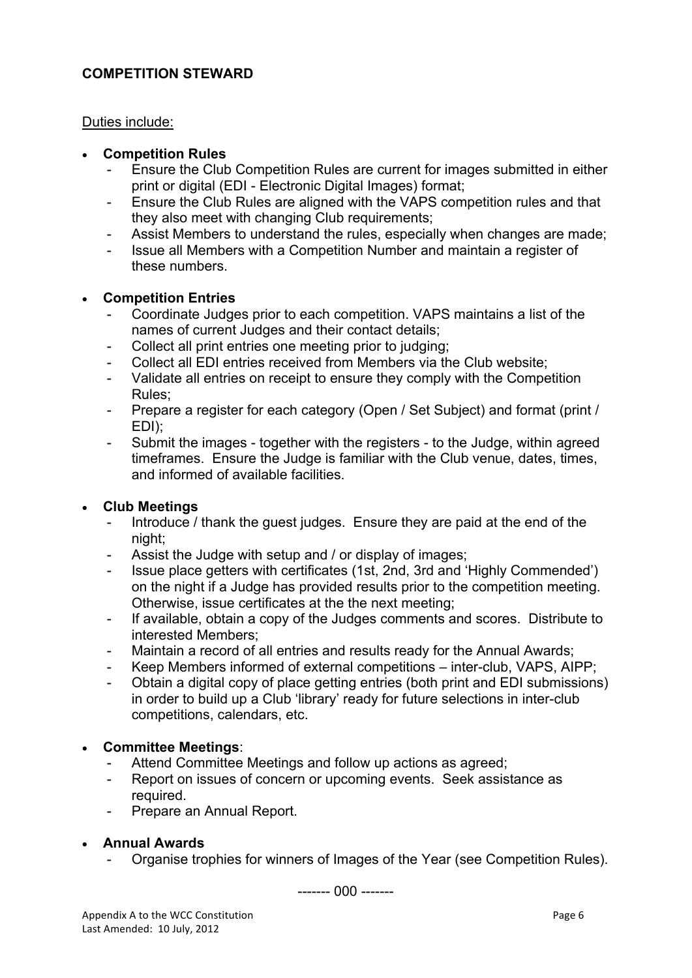## **COMPETITION STEWARD**

## Duties include:

## • **Competition Rules**

- Ensure the Club Competition Rules are current for images submitted in either print or digital (EDI - Electronic Digital Images) format;
- Ensure the Club Rules are aligned with the VAPS competition rules and that they also meet with changing Club requirements;
- Assist Members to understand the rules, especially when changes are made;
- Issue all Members with a Competition Number and maintain a register of these numbers.

## • **Competition Entries**

- Coordinate Judges prior to each competition. VAPS maintains a list of the names of current Judges and their contact details;
- Collect all print entries one meeting prior to judging;
- Collect all EDI entries received from Members via the Club website;
- Validate all entries on receipt to ensure they comply with the Competition Rules;
- Prepare a register for each category (Open / Set Subject) and format (print / EDI);
- Submit the images together with the registers to the Judge, within agreed timeframes. Ensure the Judge is familiar with the Club venue, dates, times, and informed of available facilities.

## • **Club Meetings**

- Introduce / thank the guest judges. Ensure they are paid at the end of the night;
- Assist the Judge with setup and / or display of images;
- Issue place getters with certificates (1st, 2nd, 3rd and 'Highly Commended') on the night if a Judge has provided results prior to the competition meeting. Otherwise, issue certificates at the the next meeting;
- If available, obtain a copy of the Judges comments and scores. Distribute to interested Members;
- Maintain a record of all entries and results ready for the Annual Awards;
- Keep Members informed of external competitions inter-club, VAPS, AIPP;
- Obtain a digital copy of place getting entries (both print and EDI submissions) in order to build up a Club 'library' ready for future selections in inter-club competitions, calendars, etc.

## • **Committee Meetings**:

- Attend Committee Meetings and follow up actions as agreed;
- Report on issues of concern or upcoming events. Seek assistance as required.
- Prepare an Annual Report.
- **Annual Awards**
	- Organise trophies for winners of Images of the Year (see Competition Rules).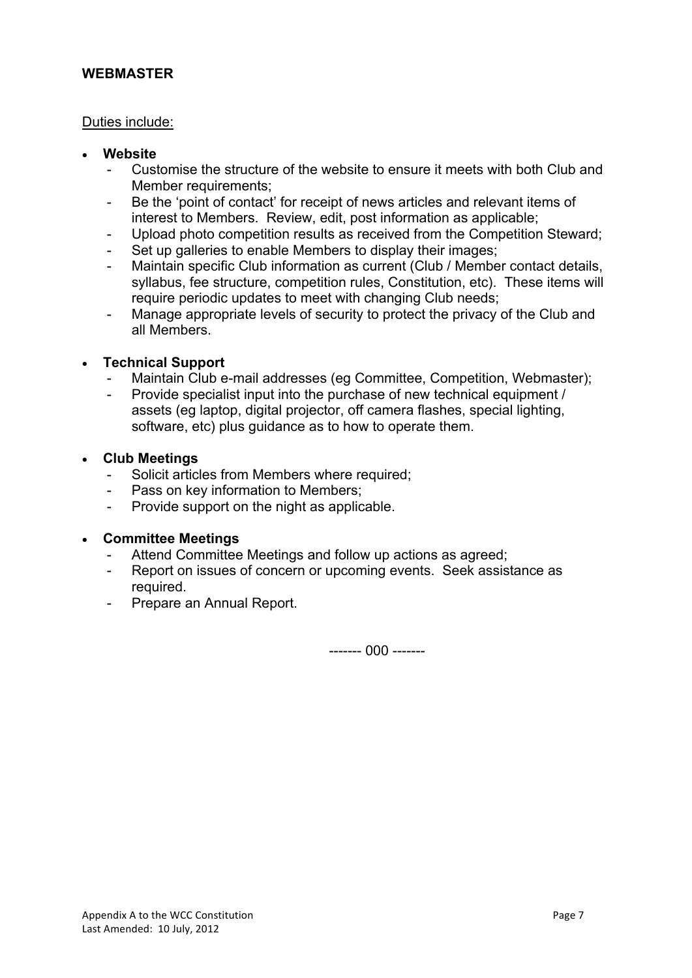## **WEBMASTER**

## Duties include:

- **Website**
	- Customise the structure of the website to ensure it meets with both Club and Member requirements;
	- Be the 'point of contact' for receipt of news articles and relevant items of interest to Members. Review, edit, post information as applicable;
	- Upload photo competition results as received from the Competition Steward;
	- Set up galleries to enable Members to display their images;
	- Maintain specific Club information as current (Club / Member contact details, syllabus, fee structure, competition rules, Constitution, etc). These items will require periodic updates to meet with changing Club needs;
	- Manage appropriate levels of security to protect the privacy of the Club and all Members.

## • **Technical Support**

- Maintain Club e-mail addresses (eg Committee, Competition, Webmaster);
- Provide specialist input into the purchase of new technical equipment / assets (eg laptop, digital projector, off camera flashes, special lighting, software, etc) plus guidance as to how to operate them.

#### • **Club Meetings**

- Solicit articles from Members where required;
- Pass on key information to Members;
- Provide support on the night as applicable.

## • **Committee Meetings**

- Attend Committee Meetings and follow up actions as agreed;
- Report on issues of concern or upcoming events. Seek assistance as required.
- Prepare an Annual Report.